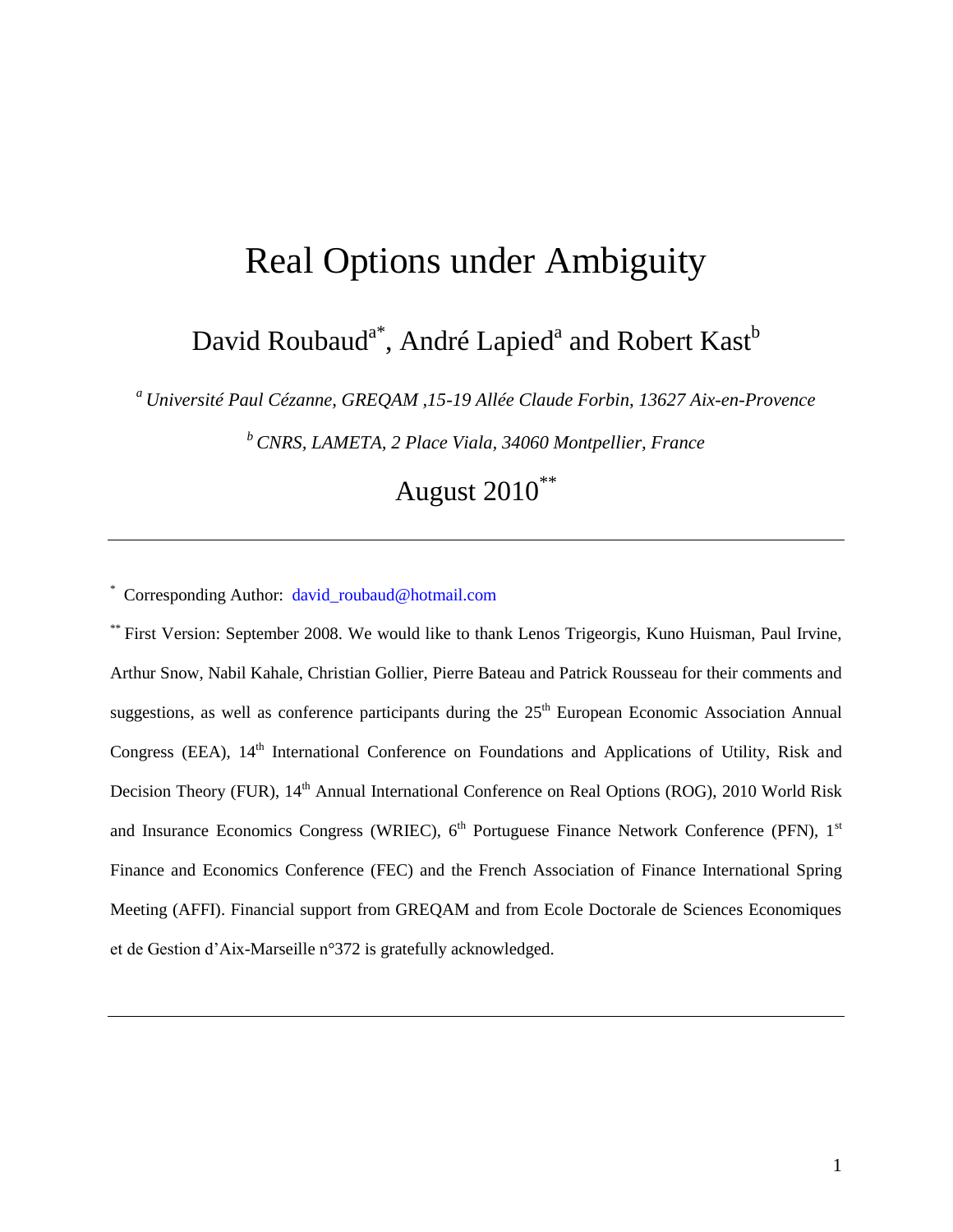# Real Options under Ambiguity

## David Roubaud<sup>a\*</sup>, André Lapied<sup>a</sup> and Robert Kast<sup>b</sup>

*<sup>a</sup>Université Paul Cézanne, GREQAM ,15-19 Allée Claude Forbin, 13627 Aix-en-Provence*

*<sup>b</sup>CNRS, LAMETA, 2 Place Viala, 34060 Montpellier, France*

August 2010\*\*

\* Corresponding Author: [david\\_roubaud@hotmail.com](file:///G:/Downloads/Documents/Downloads/david_roubaud@hotmail.com)

\*\* First Version: September 2008. We would like to thank Lenos Trigeorgis, Kuno Huisman, Paul Irvine, Arthur Snow, Nabil Kahale, Christian Gollier, Pierre Bateau and Patrick Rousseau for their comments and suggestions, as well as conference participants during the  $25<sup>th</sup>$  European Economic Association Annual Congress (EEA), 14<sup>th</sup> International Conference on Foundations and Applications of Utility, Risk and Decision Theory (FUR), 14<sup>th</sup> Annual International Conference on Real Options (ROG), 2010 World Risk and Insurance Economics Congress (WRIEC), 6<sup>th</sup> Portuguese Finance Network Conference (PFN), 1<sup>st</sup> Finance and Economics Conference (FEC) and the French Association of Finance International Spring Meeting (AFFI). Financial support from GREQAM and from Ecole Doctorale de Sciences Economiques et de Gestion d'Aix-Marseille n°372 is gratefully acknowledged.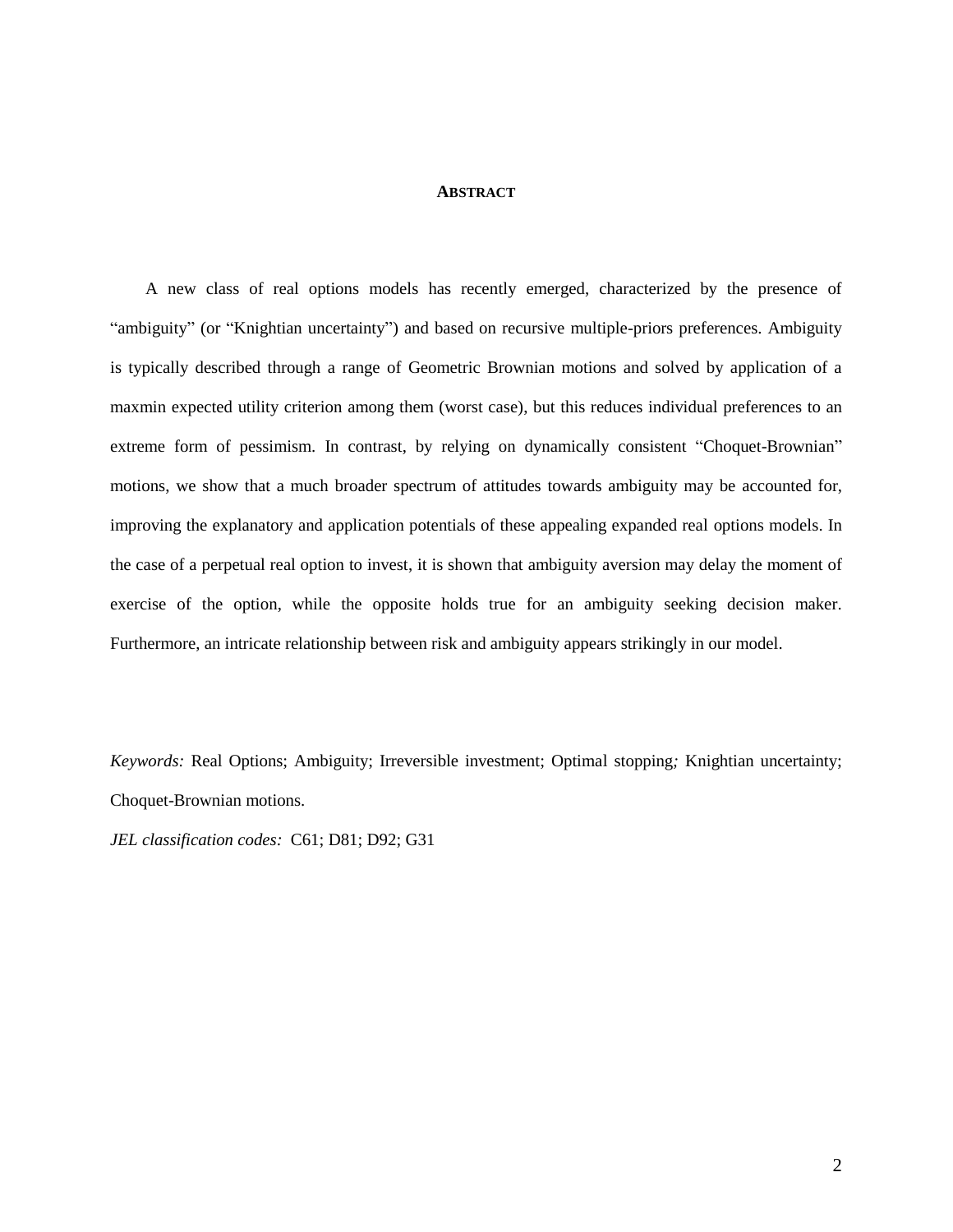#### **ABSTRACT**

A new class of real options models has recently emerged, characterized by the presence of "ambiguity" (or "Knightian uncertainty") and based on recursive multiple-priors preferences. Ambiguity is typically described through a range of Geometric Brownian motions and solved by application of a maxmin expected utility criterion among them (worst case), but this reduces individual preferences to an extreme form of pessimism. In contrast, by relying on dynamically consistent "Choquet-Brownian" motions, we show that a much broader spectrum of attitudes towards ambiguity may be accounted for, improving the explanatory and application potentials of these appealing expanded real options models. In the case of a perpetual real option to invest, it is shown that ambiguity aversion may delay the moment of exercise of the option, while the opposite holds true for an ambiguity seeking decision maker. Furthermore, an intricate relationship between risk and ambiguity appears strikingly in our model.

*Keywords:* Real Options; Ambiguity; Irreversible investment; Optimal stopping*;* Knightian uncertainty; Choquet-Brownian motions.

*JEL classification codes:* C61; D81; D92; G31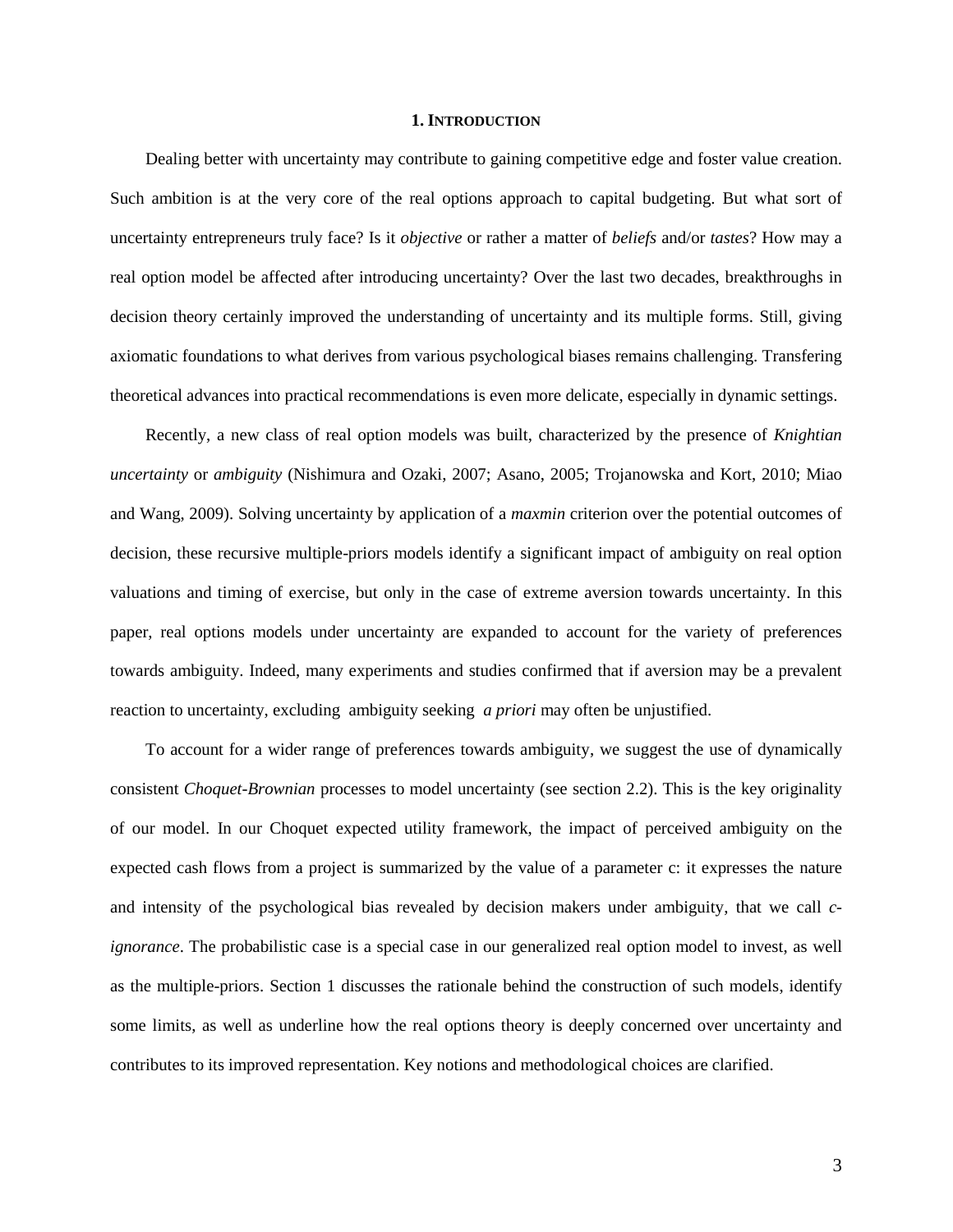#### **1. INTRODUCTION**

Dealing better with uncertainty may contribute to gaining competitive edge and foster value creation. Such ambition is at the very core of the real options approach to capital budgeting. But what sort of uncertainty entrepreneurs truly face? Is it *objective* or rather a matter of *beliefs* and/or *tastes*? How may a real option model be affected after introducing uncertainty? Over the last two decades, breakthroughs in decision theory certainly improved the understanding of uncertainty and its multiple forms. Still, giving axiomatic foundations to what derives from various psychological biases remains challenging. Transfering theoretical advances into practical recommendations is even more delicate, especially in dynamic settings.

Recently, a new class of real option models was built, characterized by the presence of *Knightian uncertainty* or *ambiguity* (Nishimura and Ozaki, 2007; Asano, 2005; Trojanowska and Kort, 2010; Miao and Wang, 2009). Solving uncertainty by application of a *maxmin* criterion over the potential outcomes of decision, these recursive multiple-priors models identify a significant impact of ambiguity on real option valuations and timing of exercise, but only in the case of extreme aversion towards uncertainty. In this paper, real options models under uncertainty are expanded to account for the variety of preferences towards ambiguity. Indeed, many experiments and studies confirmed that if aversion may be a prevalent reaction to uncertainty, excluding ambiguity seeking *a priori* may often be unjustified.

To account for a wider range of preferences towards ambiguity, we suggest the use of dynamically consistent *Choquet-Brownian* processes to model uncertainty (see section 2.2). This is the key originality of our model. In our Choquet expected utility framework, the impact of perceived ambiguity on the expected cash flows from a project is summarized by the value of a parameter c: it expresses the nature and intensity of the psychological bias revealed by decision makers under ambiguity, that we call *cignorance*. The probabilistic case is a special case in our generalized real option model to invest, as well as the multiple-priors. Section 1 discusses the rationale behind the construction of such models, identify some limits, as well as underline how the real options theory is deeply concerned over uncertainty and contributes to its improved representation. Key notions and methodological choices are clarified.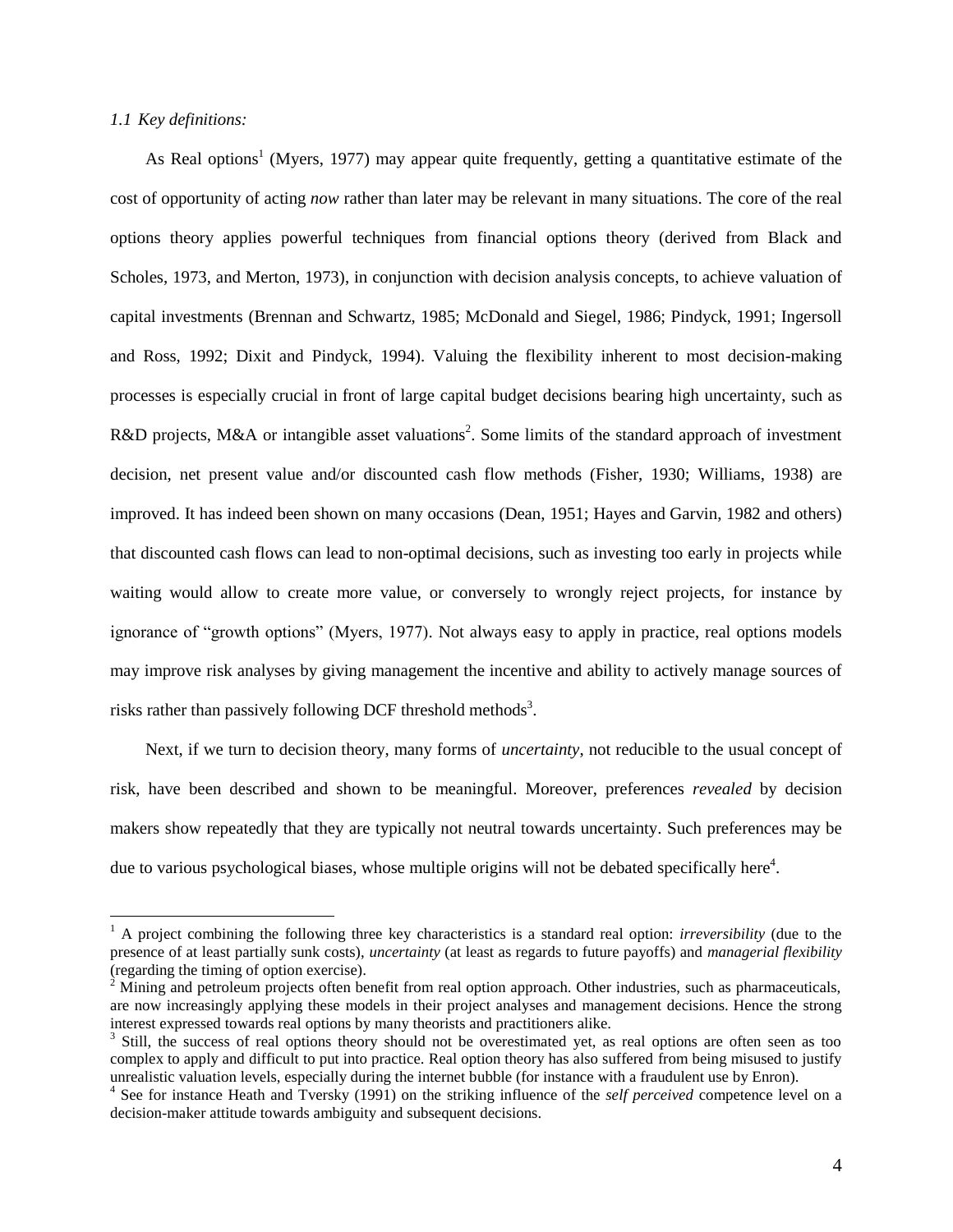#### *1.1 Key definitions:*

 $\overline{a}$ 

As Real options<sup>1</sup> (Myers, 1977) may appear quite frequently, getting a quantitative estimate of the cost of opportunity of acting *now* rather than later may be relevant in many situations. The core of the real options theory applies powerful techniques from financial options theory (derived from Black and Scholes, 1973, and Merton, 1973), in conjunction with decision analysis concepts, to achieve valuation of capital investments (Brennan and Schwartz, 1985; McDonald and Siegel, 1986; Pindyck, 1991; Ingersoll and Ross, 1992; Dixit and Pindyck, 1994). Valuing the flexibility inherent to most decision-making processes is especially crucial in front of large capital budget decisions bearing high uncertainty, such as R&D projects, M&A or intangible asset valuations<sup>2</sup>. Some limits of the standard approach of investment decision, net present value and/or discounted cash flow methods (Fisher, 1930; Williams, 1938) are improved. It has indeed been shown on many occasions (Dean, 1951; Hayes and Garvin, 1982 and others) that discounted cash flows can lead to non-optimal decisions, such as investing too early in projects while waiting would allow to create more value, or conversely to wrongly reject projects, for instance by ignorance of "growth options" (Myers, 1977). Not always easy to apply in practice, real options models may improve risk analyses by giving management the incentive and ability to actively manage sources of risks rather than passively following DCF threshold methods<sup>3</sup>.

Next, if we turn to decision theory, many forms of *uncertainty*, not reducible to the usual concept of risk, have been described and shown to be meaningful. Moreover, preferences *revealed* by decision makers show repeatedly that they are typically not neutral towards uncertainty. Such preferences may be due to various psychological biases, whose multiple origins will not be debated specifically here $4$ .

<sup>&</sup>lt;sup>1</sup> A project combining the following three key characteristics is a standard real option: *irreversibility* (due to the presence of at least partially sunk costs), *uncertainty* (at least as regards to future payoffs) and *managerial flexibility* (regarding the timing of option exercise).

 $2<sup>2</sup>$  Mining and petroleum projects often benefit from real option approach. Other industries, such as pharmaceuticals, are now increasingly applying these models in their project analyses and management decisions. Hence the strong interest expressed towards real options by many theorists and practitioners alike.

<sup>&</sup>lt;sup>3</sup> Still, the success of real options theory should not be overestimated yet, as real options are often seen as too complex to apply and difficult to put into practice. Real option theory has also suffered from being misused to justify unrealistic valuation levels, especially during the internet bubble (for instance with a fraudulent use by Enron).

<sup>4</sup> See for instance Heath and Tversky (1991) on the striking influence of the *self perceived* competence level on a decision-maker attitude towards ambiguity and subsequent decisions.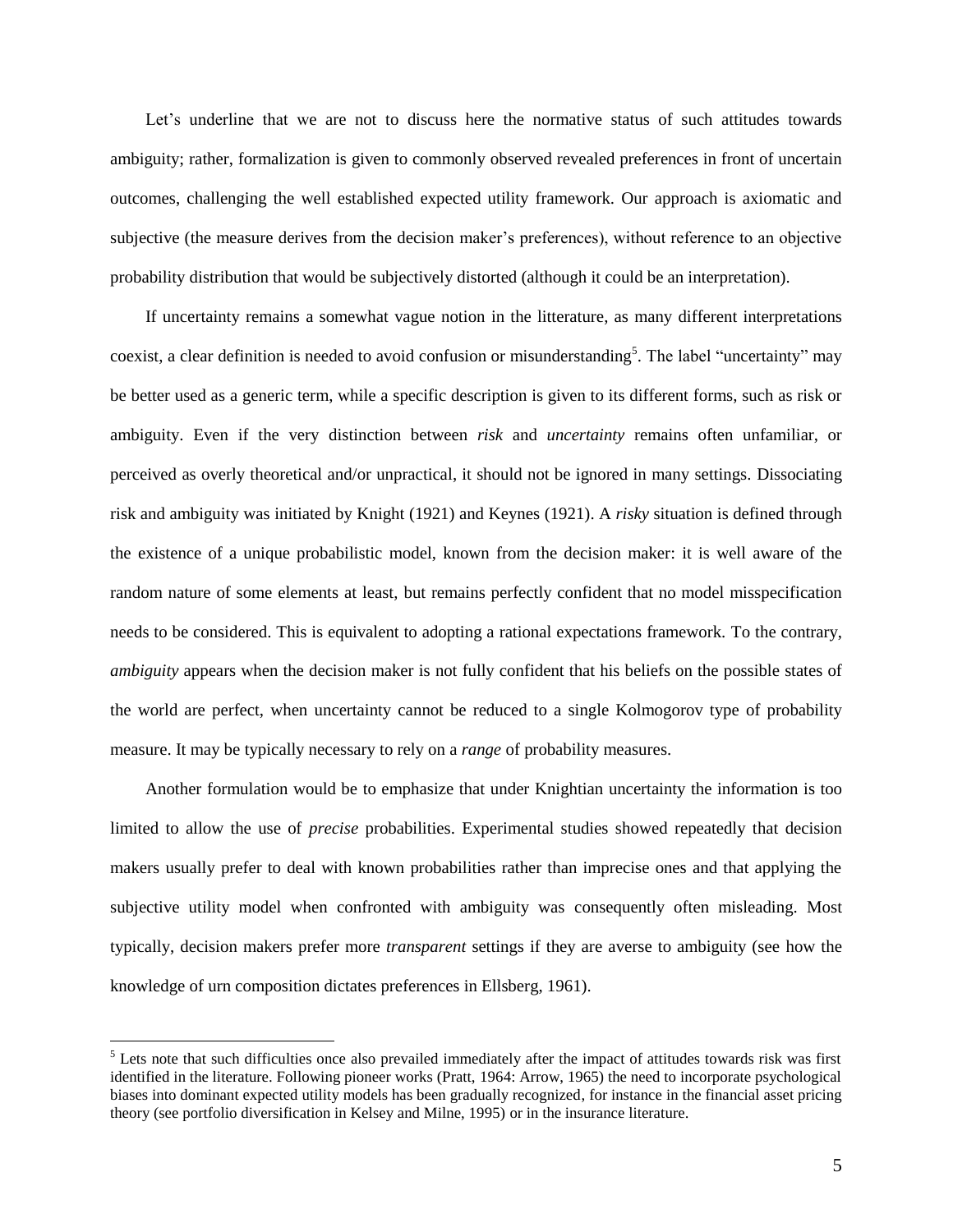Let's underline that we are not to discuss here the normative status of such attitudes towards ambiguity; rather, formalization is given to commonly observed revealed preferences in front of uncertain outcomes, challenging the well established expected utility framework. Our approach is axiomatic and subjective (the measure derives from the decision maker's preferences), without reference to an objective probability distribution that would be subjectively distorted (although it could be an interpretation).

If uncertainty remains a somewhat vague notion in the litterature, as many different interpretations coexist, a clear definition is needed to avoid confusion or misunderstanding<sup>5</sup>. The label "uncertainty" may be better used as a generic term, while a specific description is given to its different forms, such as risk or ambiguity. Even if the very distinction between *risk* and *uncertainty* remains often unfamiliar, or perceived as overly theoretical and/or unpractical, it should not be ignored in many settings. Dissociating risk and ambiguity was initiated by Knight (1921) and Keynes (1921). A *risky* situation is defined through the existence of a unique probabilistic model, known from the decision maker: it is well aware of the random nature of some elements at least, but remains perfectly confident that no model misspecification needs to be considered. This is equivalent to adopting a rational expectations framework. To the contrary, *ambiguity* appears when the decision maker is not fully confident that his beliefs on the possible states of the world are perfect, when uncertainty cannot be reduced to a single Kolmogorov type of probability measure. It may be typically necessary to rely on a *range* of probability measures.

Another formulation would be to emphasize that under Knightian uncertainty the information is too limited to allow the use of *precise* probabilities. Experimental studies showed repeatedly that decision makers usually prefer to deal with known probabilities rather than imprecise ones and that applying the subjective utility model when confronted with ambiguity was consequently often misleading. Most typically, decision makers prefer more *transparent* settings if they are averse to ambiguity (see how the knowledge of urn composition dictates preferences in Ellsberg, 1961).

 $<sup>5</sup>$  Lets note that such difficulties once also prevailed immediately after the impact of attitudes towards risk was first</sup> identified in the literature. Following pioneer works (Pratt, 1964: Arrow, 1965) the need to incorporate psychological biases into dominant expected utility models has been gradually recognized, for instance in the financial asset pricing theory (see portfolio diversification in Kelsey and Milne, 1995) or in the insurance literature.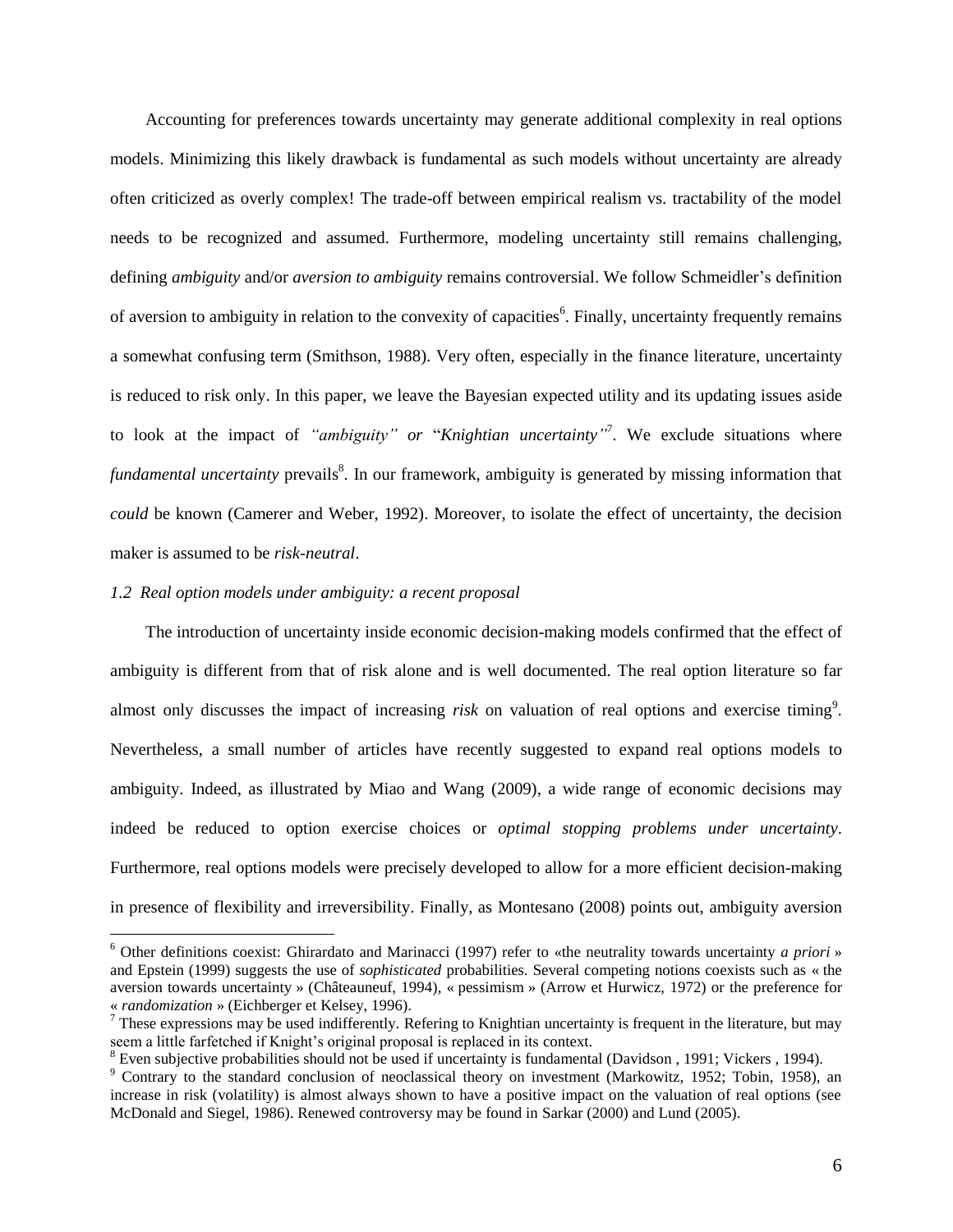Accounting for preferences towards uncertainty may generate additional complexity in real options models. Minimizing this likely drawback is fundamental as such models without uncertainty are already often criticized as overly complex! The trade-off between empirical realism vs. tractability of the model needs to be recognized and assumed. Furthermore, modeling uncertainty still remains challenging, defining *ambiguity* and/or *aversion to ambiguity* remains controversial. We follow Schmeidler's definition of aversion to ambiguity in relation to the convexity of capacities<sup>6</sup>. Finally, uncertainty frequently remains a somewhat confusing term (Smithson, 1988). Very often, especially in the finance literature, uncertainty is reduced to risk only. In this paper, we leave the Bayesian expected utility and its updating issues aside to look at the impact of *"ambiguity" or* "*Knightian uncertainty"* 7 . We exclude situations where *fundamental uncertainty* prevails<sup>8</sup>. In our framework, ambiguity is generated by missing information that *could* be known (Camerer and Weber, 1992). Moreover, to isolate the effect of uncertainty, the decision maker is assumed to be *risk-neutral*.

#### *1.2 Real option models under ambiguity: a recent proposal*

 $\overline{a}$ 

The introduction of uncertainty inside economic decision-making models confirmed that the effect of ambiguity is different from that of risk alone and is well documented. The real option literature so far almost only discusses the impact of increasing *risk* on valuation of real options and exercise timing<sup>9</sup>. Nevertheless, a small number of articles have recently suggested to expand real options models to ambiguity. Indeed, as illustrated by Miao and Wang (2009), a wide range of economic decisions may indeed be reduced to option exercise choices or *optimal stopping problems under uncertainty*. Furthermore, real options models were precisely developed to allow for a more efficient decision-making in presence of flexibility and irreversibility. Finally, as Montesano (2008) points out, ambiguity aversion

<sup>6</sup> Other definitions coexist: Ghirardato and Marinacci (1997) refer to «the neutrality towards uncertainty *a priori* » and Epstein (1999) suggests the use of *sophisticated* probabilities. Several competing notions coexists such as « the aversion towards uncertainty » (Châteauneuf, 1994), « pessimism » (Arrow et Hurwicz, 1972) or the preference for « *randomization* » (Eichberger et Kelsey, 1996).

These expressions may be used indifferently. Refering to Knightian uncertainty is frequent in the literature, but may seem a little farfetched if Knight's original proposal is replaced in its context.

<sup>&</sup>lt;sup>8</sup> Even subjective probabilities should not be used if uncertainty is fundamental (Davidson, 1991; Vickers, 1994).

<sup>&</sup>lt;sup>9</sup> Contrary to the standard conclusion of neoclassical theory on investment (Markowitz, 1952; Tobin, 1958), an increase in risk (volatility) is almost always shown to have a positive impact on the valuation of real options (see McDonald and Siegel, 1986). Renewed controversy may be found in Sarkar (2000) and Lund (2005).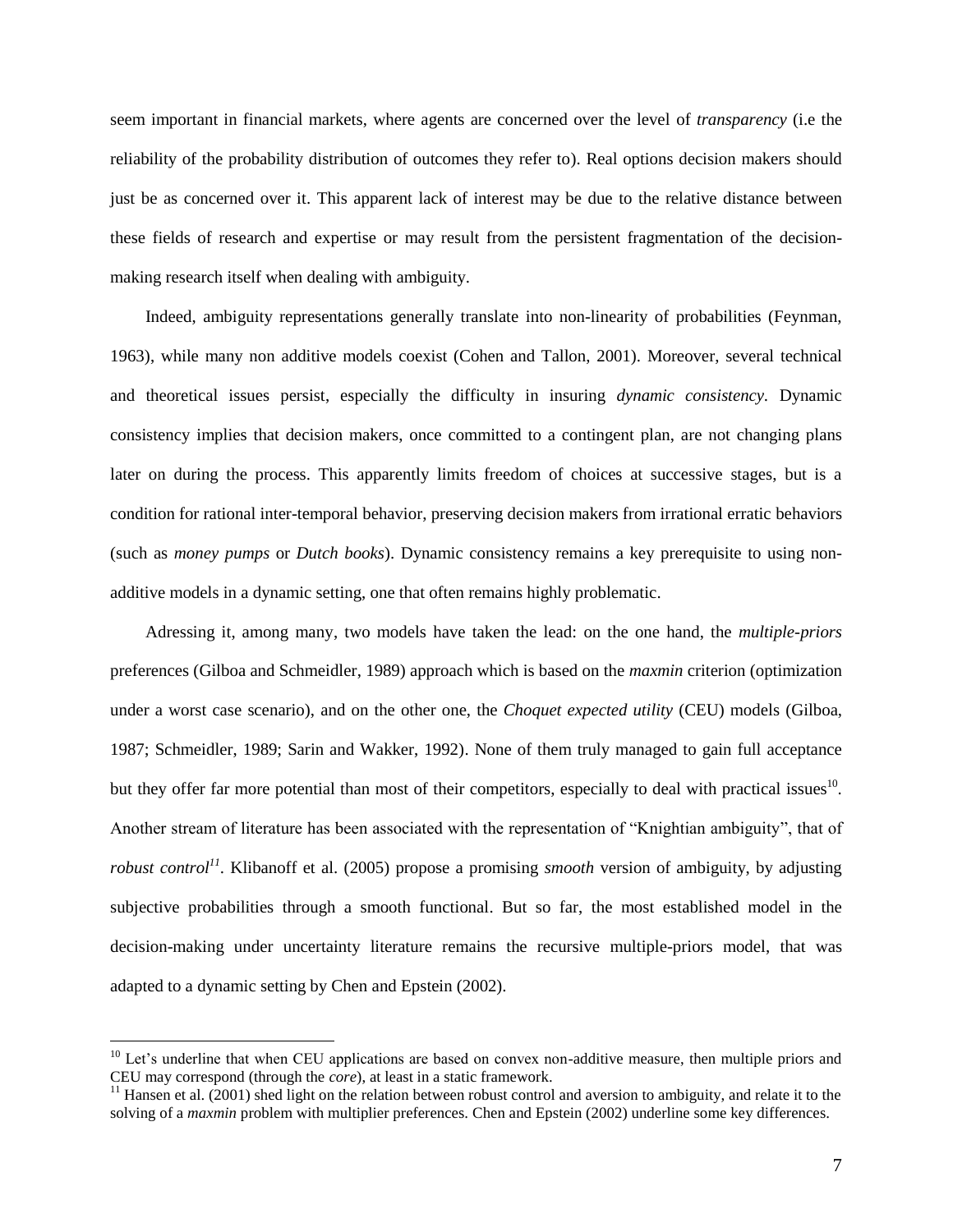seem important in financial markets, where agents are concerned over the level of *transparency* (i.e the reliability of the probability distribution of outcomes they refer to). Real options decision makers should just be as concerned over it. This apparent lack of interest may be due to the relative distance between these fields of research and expertise or may result from the persistent fragmentation of the decisionmaking research itself when dealing with ambiguity.

Indeed, ambiguity representations generally translate into non-linearity of probabilities (Feynman, 1963), while many non additive models coexist (Cohen and Tallon, 2001). Moreover, several technical and theoretical issues persist, especially the difficulty in insuring *dynamic consistency.* Dynamic consistency implies that decision makers, once committed to a contingent plan, are not changing plans later on during the process. This apparently limits freedom of choices at successive stages, but is a condition for rational inter-temporal behavior, preserving decision makers from irrational erratic behaviors (such as *money pumps* or *Dutch books*). Dynamic consistency remains a key prerequisite to using nonadditive models in a dynamic setting, one that often remains highly problematic.

Adressing it, among many, two models have taken the lead: on the one hand, the *multiple-priors* preferences (Gilboa and Schmeidler, 1989) approach which is based on the *maxmin* criterion (optimization under a worst case scenario), and on the other one, the *Choquet expected utility* (CEU) models (Gilboa, 1987; Schmeidler, 1989; Sarin and Wakker, 1992). None of them truly managed to gain full acceptance but they offer far more potential than most of their competitors, especially to deal with practical issues<sup>10</sup>. Another stream of literature has been associated with the representation of "Knightian ambiguity", that of *robust control*<sup>11</sup>. Klibanoff et al. (2005) propose a promising *smooth* version of ambiguity, by adjusting subjective probabilities through a smooth functional. But so far, the most established model in the decision-making under uncertainty literature remains the recursive multiple-priors model, that was adapted to a dynamic setting by Chen and Epstein (2002).

 $10$  Let's underline that when CEU applications are based on convex non-additive measure, then multiple priors and CEU may correspond (through the *core*), at least in a static framework.

 $11$  Hansen et al. (2001) shed light on the relation between robust control and aversion to ambiguity, and relate it to the solving of a *maxmin* problem with multiplier preferences. Chen and Epstein (2002) underline some key differences.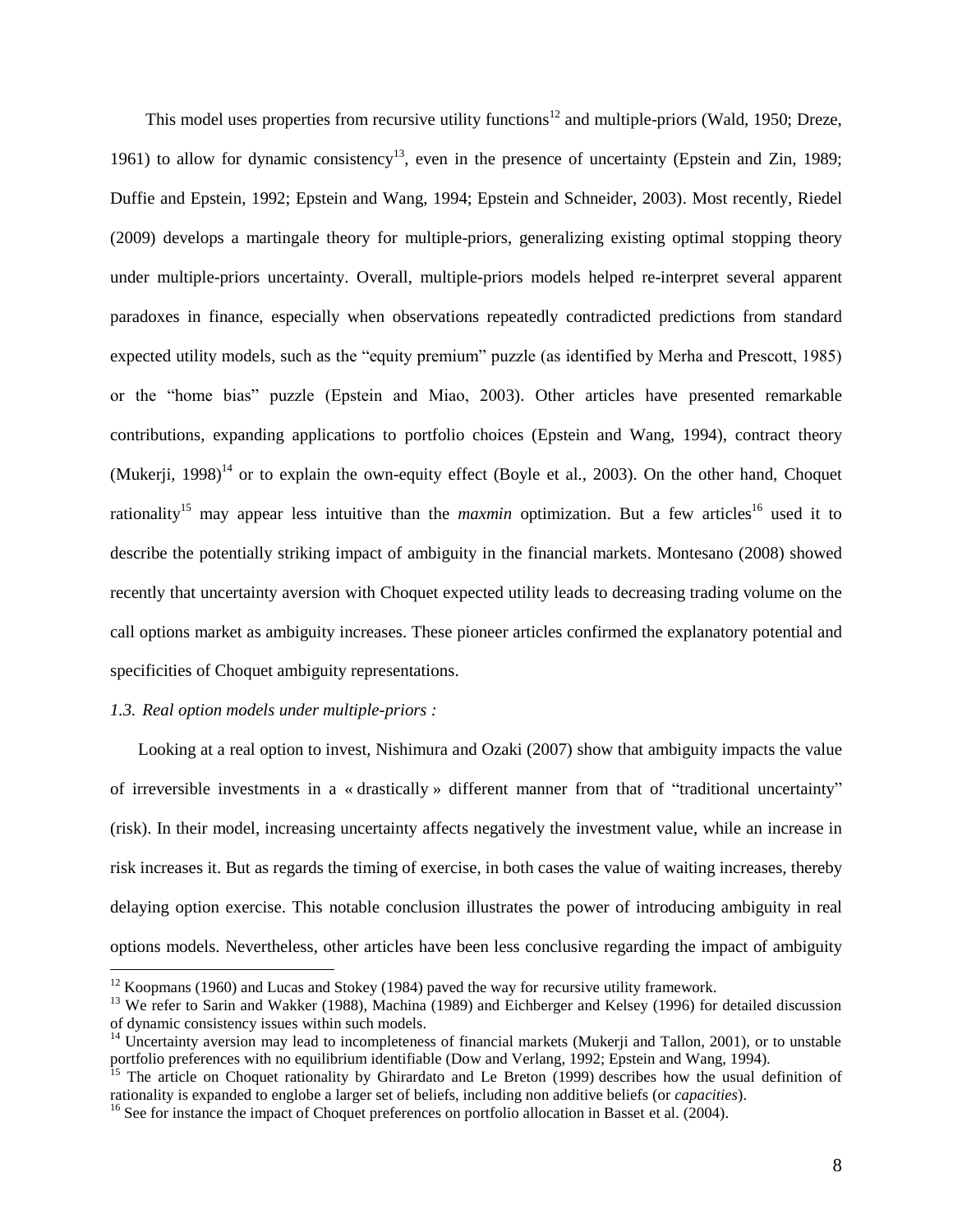This model uses properties from recursive utility functions<sup>12</sup> and multiple-priors (Wald, 1950; Dreze, 1961) to allow for dynamic consistency<sup>13</sup>, even in the presence of uncertainty (Epstein and Zin, 1989; Duffie and Epstein, 1992; Epstein and Wang, 1994; Epstein and Schneider, 2003). Most recently, Riedel (2009) develops a martingale theory for multiple-priors, generalizing existing optimal stopping theory under multiple-priors uncertainty. Overall, multiple-priors models helped re-interpret several apparent paradoxes in finance, especially when observations repeatedly contradicted predictions from standard expected utility models, such as the "equity premium" puzzle (as identified by Merha and Prescott, 1985) or the "home bias" puzzle (Epstein and Miao, 2003). Other articles have presented remarkable contributions, expanding applications to portfolio choices (Epstein and Wang, 1994), contract theory (Mukerji, 1998)<sup>14</sup> or to explain the own-equity effect (Boyle et al., 2003). On the other hand, Choquet rationality<sup>15</sup> may appear less intuitive than the *maxmin* optimization. But a few articles<sup>16</sup> used it to describe the potentially striking impact of ambiguity in the financial markets. Montesano (2008) showed recently that uncertainty aversion with Choquet expected utility leads to decreasing trading volume on the call options market as ambiguity increases. These pioneer articles confirmed the explanatory potential and specificities of Choquet ambiguity representations.

#### *1.3. Real option models under multiple-priors :*

 $\overline{a}$ 

Looking at a real option to invest, Nishimura and Ozaki (2007) show that ambiguity impacts the value of irreversible investments in a « drastically » different manner from that of "traditional uncertainty" (risk). In their model, increasing uncertainty affects negatively the investment value, while an increase in risk increases it. But as regards the timing of exercise, in both cases the value of waiting increases, thereby delaying option exercise. This notable conclusion illustrates the power of introducing ambiguity in real options models. Nevertheless, other articles have been less conclusive regarding the impact of ambiguity

 $12$  Koopmans (1960) and Lucas and Stokey (1984) paved the way for recursive utility framework.

<sup>&</sup>lt;sup>13</sup> We refer to Sarin and Wakker (1988), Machina (1989) and Eichberger and Kelsey (1996) for detailed discussion of dynamic consistency issues within such models.

 $14$  Uncertainty aversion may lead to incompleteness of financial markets (Mukerji and Tallon, 2001), or to unstable portfolio preferences with no equilibrium identifiable (Dow and Verlang, 1992; Epstein and Wang, 1994).

<sup>&</sup>lt;sup>15</sup> The article on Choquet rationality by Ghirardato and Le Breton (1999) describes how the usual definition of rationality is expanded to englobe a larger set of beliefs, including non additive beliefs (or *capacities*).

<sup>&</sup>lt;sup>16</sup> See for instance the impact of Choquet preferences on portfolio allocation in Basset et al. (2004).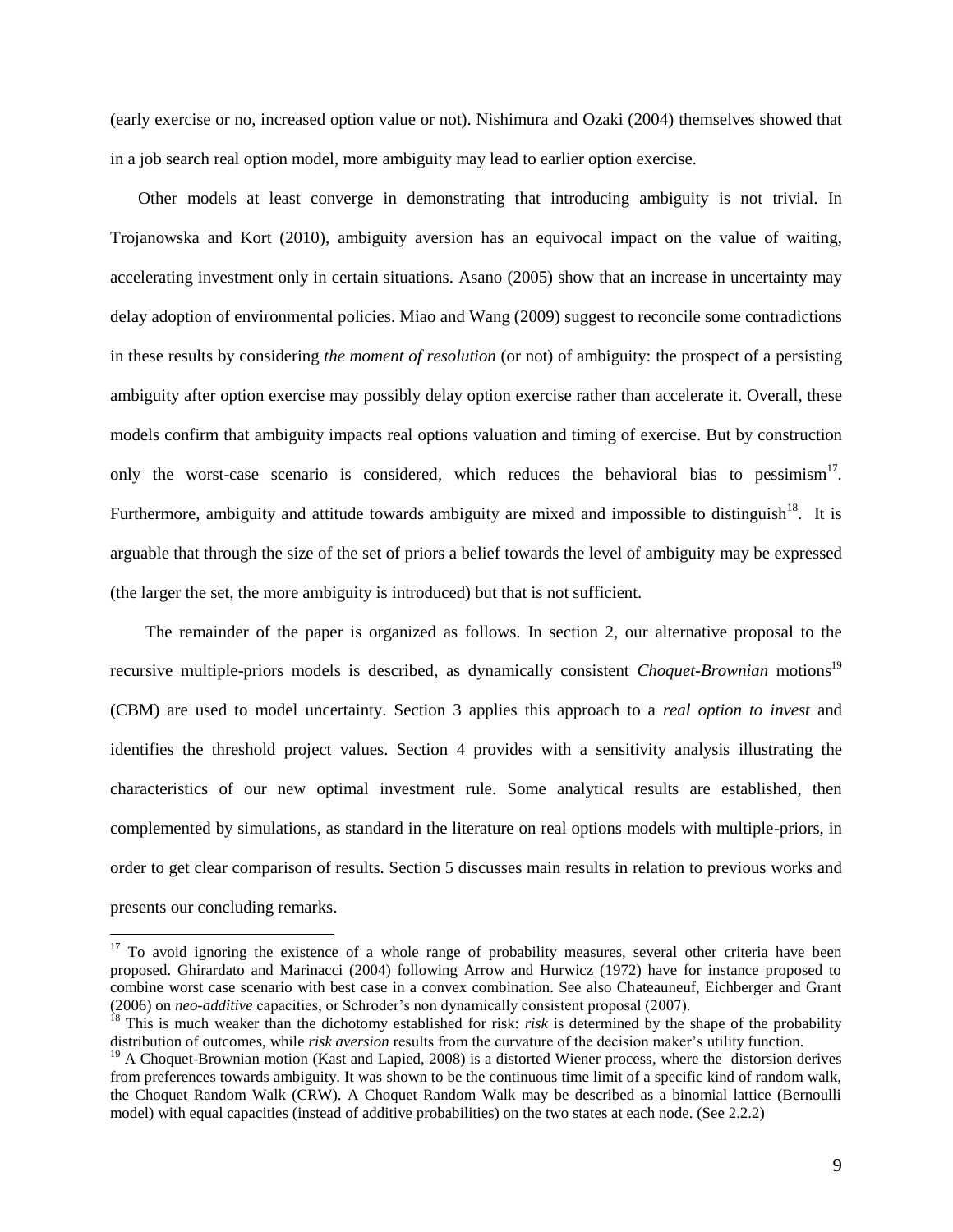(early exercise or no, increased option value or not). Nishimura and Ozaki (2004) themselves showed that in a job search real option model, more ambiguity may lead to earlier option exercise.

Other models at least converge in demonstrating that introducing ambiguity is not trivial. In Trojanowska and Kort (2010), ambiguity aversion has an equivocal impact on the value of waiting, accelerating investment only in certain situations. Asano (2005) show that an increase in uncertainty may delay adoption of environmental policies. Miao and Wang (2009) suggest to reconcile some contradictions in these results by considering *the moment of resolution* (or not) of ambiguity: the prospect of a persisting ambiguity after option exercise may possibly delay option exercise rather than accelerate it. Overall, these models confirm that ambiguity impacts real options valuation and timing of exercise. But by construction only the worst-case scenario is considered, which reduces the behavioral bias to pessimism<sup>17</sup>. Furthermore, ambiguity and attitude towards ambiguity are mixed and impossible to distinguish<sup>18</sup>. It is arguable that through the size of the set of priors a belief towards the level of ambiguity may be expressed (the larger the set, the more ambiguity is introduced) but that is not sufficient.

The remainder of the paper is organized as follows. In section 2, our alternative proposal to the recursive multiple-priors models is described, as dynamically consistent *Choquet-Brownian* motions<sup>19</sup> (CBM) are used to model uncertainty. Section 3 applies this approach to a *real option to invest* and identifies the threshold project values. Section 4 provides with a sensitivity analysis illustrating the characteristics of our new optimal investment rule. Some analytical results are established, then complemented by simulations, as standard in the literature on real options models with multiple-priors, in order to get clear comparison of results. Section 5 discusses main results in relation to previous works and presents our concluding remarks.

 $17$  To avoid ignoring the existence of a whole range of probability measures, several other criteria have been proposed. Ghirardato and Marinacci (2004) following Arrow and Hurwicz (1972) have for instance proposed to combine worst case scenario with best case in a convex combination. See also Chateauneuf, Eichberger and Grant (2006) on *neo-additive* capacities, or Schroder's non dynamically consistent proposal (2007).

<sup>&</sup>lt;sup>18</sup> This is much weaker than the dichotomy established for risk: *risk* is determined by the shape of the probability distribution of outcomes, while *risk aversion* results from the curvature of the decision maker's utility function.

 $19$  A Choquet-Brownian motion (Kast and Lapied, 2008) is a distorted Wiener process, where the distorsion derives from preferences towards ambiguity. It was shown to be the continuous time limit of a specific kind of random walk, the Choquet Random Walk (CRW). A Choquet Random Walk may be described as a binomial lattice (Bernoulli model) with equal capacities (instead of additive probabilities) on the two states at each node. (See 2.2.2)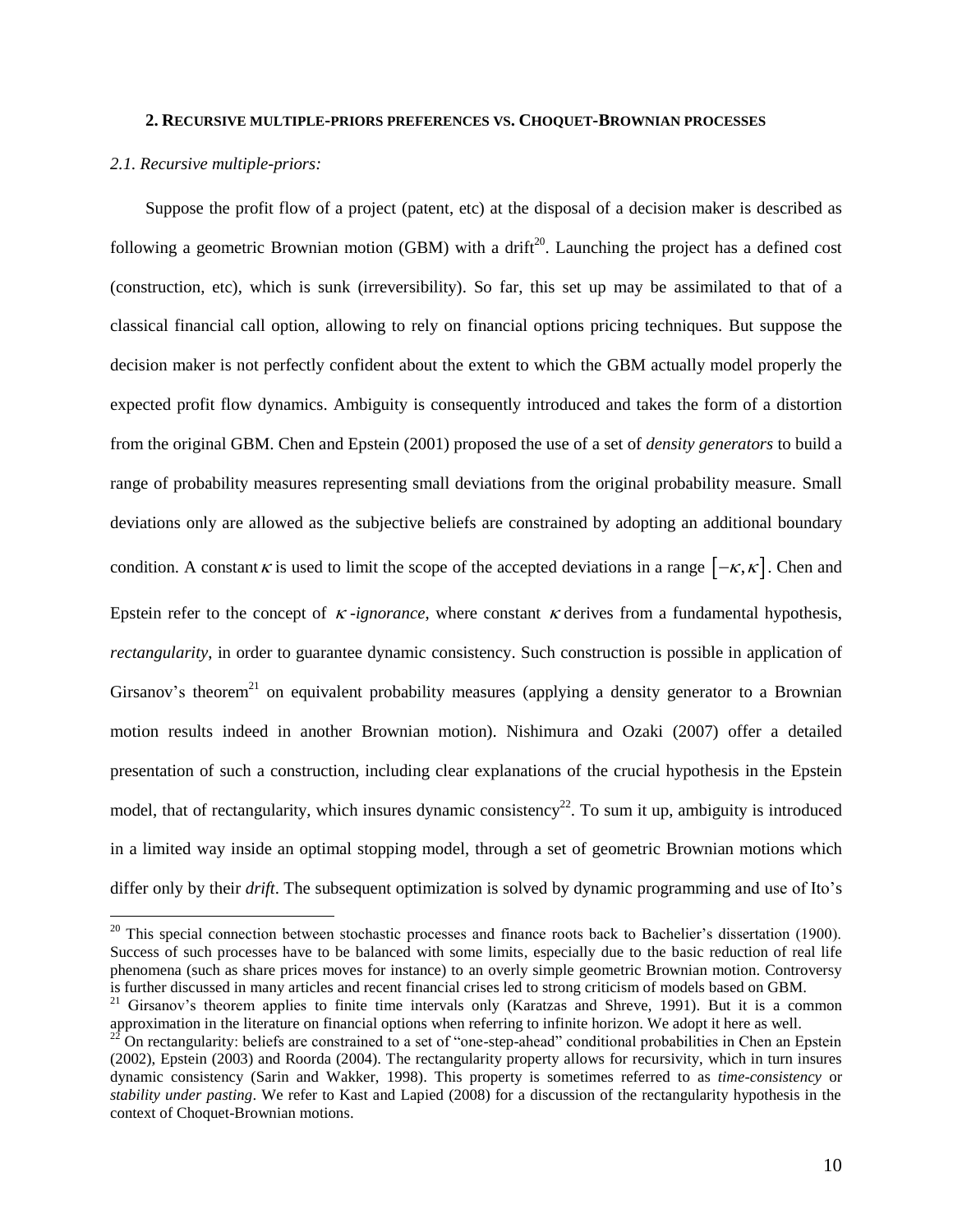#### **2. RECURSIVE MULTIPLE-PRIORS PREFERENCES VS. CHOQUET-BROWNIAN PROCESSES**

#### *2.1. Recursive multiple-priors:*

 $\overline{a}$ 

Suppose the profit flow of a project (patent, etc) at the disposal of a decision maker is described as following a geometric Brownian motion (GBM) with a drift<sup>20</sup>. Launching the project has a defined cost (construction, etc), which is sunk (irreversibility). So far, this set up may be assimilated to that of a classical financial call option, allowing to rely on financial options pricing techniques. But suppose the decision maker is not perfectly confident about the extent to which the GBM actually model properly the expected profit flow dynamics. Ambiguity is consequently introduced and takes the form of a distortion from the original GBM. Chen and Epstein (2001) proposed the use of a set of *density generators* to build a range of probability measures representing small deviations from the original probability measure. Small deviations only are allowed as the subjective beliefs are constrained by adopting an additional boundary condition. A constant  $\kappa$  is used to limit the scope of the accepted deviations in a range  $[-\kappa, \kappa]$ . Chen and Epstein refer to the concept of  $\kappa$ -ignorance, where constant  $\kappa$  derives from a fundamental hypothesis, *rectangularity*, in order to guarantee dynamic consistency. Such construction is possible in application of Girsanov's theorem<sup>21</sup> on equivalent probability measures (applying a density generator to a Brownian motion results indeed in another Brownian motion). Nishimura and Ozaki (2007) offer a detailed presentation of such a construction, including clear explanations of the crucial hypothesis in the Epstein model, that of rectangularity, which insures dynamic consistency<sup>22</sup>. To sum it up, ambiguity is introduced in a limited way inside an optimal stopping model, through a set of geometric Brownian motions which differ only by their *drift*. The subsequent optimization is solved by dynamic programming and use of Ito's

 $20$  This special connection between stochastic processes and finance roots back to Bachelier's dissertation (1900). Success of such processes have to be balanced with some limits, especially due to the basic reduction of real life phenomena (such as share prices moves for instance) to an overly simple geometric Brownian motion. Controversy is further discussed in many articles and recent financial crises led to strong criticism of models based on GBM.

<sup>&</sup>lt;sup>21</sup> Girsanov's theorem applies to finite time intervals only (Karatzas and Shreve, 1991). But it is a common approximation in the literature on financial options when referring to infinite horizon. We adopt it here as well.

 $^{22}$  On rectangularity: beliefs are constrained to a set of "one-step-ahead" conditional probabilities in Chen an Epstein (2002), Epstein (2003) and Roorda (2004). The rectangularity property allows for recursivity, which in turn insures dynamic consistency (Sarin and Wakker, 1998). This property is sometimes referred to as *time-consistency* or *stability under pasting*. We refer to Kast and Lapied (2008) for a discussion of the rectangularity hypothesis in the context of Choquet-Brownian motions.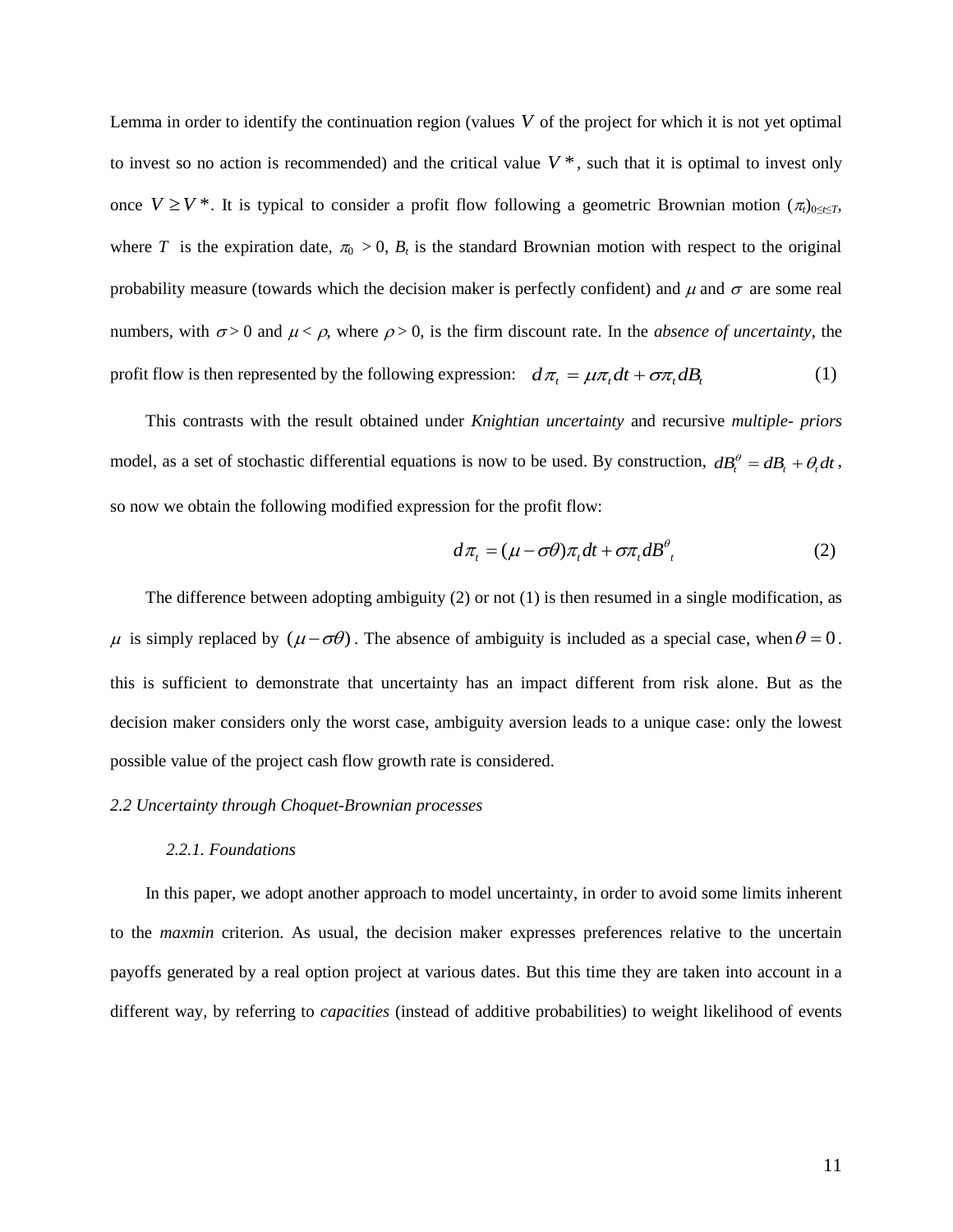Lemma in order to identify the continuation region (values *V* of the project for which it is not yet optimal to invest so no action is recommended) and the critical value  $V^*$ , such that it is optimal to invest only once  $V \geq V^*$ . It is typical to consider a profit flow following a geometric Brownian motion  $(\pi_t)_{0 \leq t \leq T}$ , where *T* is the expiration date,  $\pi_0 > 0$ ,  $B_t$  is the standard Brownian motion with respect to the original probability measure (towards which the decision maker is perfectly confident) and  $\mu$  and  $\sigma$  are some real numbers, with  $\sigma > 0$  and  $\mu < \rho$ , where  $\rho > 0$ , is the firm discount rate. In the *absence of uncertainty*, the profit flow is then represented by the following expression:  $d\pi_t = \mu \pi_t dt + \sigma \pi_t dB_t$  (1)

This contrasts with the result obtained under *Knightian uncertainty* and recursive *multiple- priors* model, as a set of stochastic differential equations is now to be used. By construction,  $dB_t^{\theta} = dB_t + \theta_t dt$ , so now we obtain the following modified expression for the profit flow:

$$
d\pi_t = (\mu - \sigma \theta) \pi_t dt + \sigma \pi_t dB^{\theta}_t \tag{2}
$$

The difference between adopting ambiguity (2) or not (1) is then resumed in a single modification, as  $\mu$  is simply replaced by  $(\mu - \sigma \theta)$ . The absence of ambiguity is included as a special case, when  $\theta = 0$ . this is sufficient to demonstrate that uncertainty has an impact different from risk alone. But as the decision maker considers only the worst case, ambiguity aversion leads to a unique case: only the lowest possible value of the project cash flow growth rate is considered.

#### *2.2 Uncertainty through Choquet-Brownian processes*

#### *2.2.1. Foundations*

In this paper, we adopt another approach to model uncertainty, in order to avoid some limits inherent to the *maxmin* criterion. As usual, the decision maker expresses preferences relative to the uncertain payoffs generated by a real option project at various dates. But this time they are taken into account in a different way, by referring to *capacities* (instead of additive probabilities) to weight likelihood of events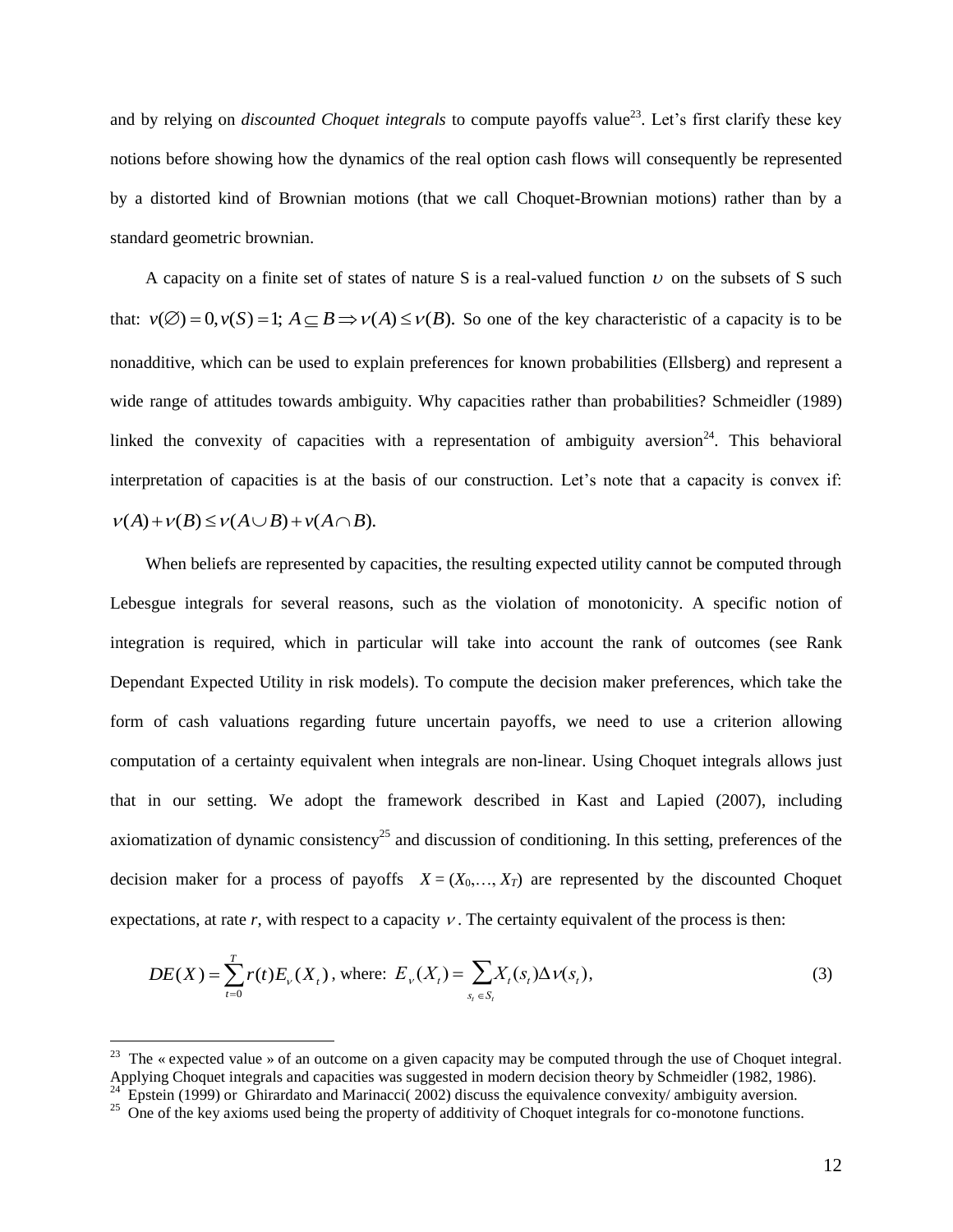and by relying on *discounted Choquet integrals* to compute payoffs value<sup>23</sup>. Let's first clarify these key notions before showing how the dynamics of the real option cash flows will consequently be represented by a distorted kind of Brownian motions (that we call Choquet-Brownian motions) rather than by a standard geometric brownian.

A capacity on a finite set of states of nature S is a real-valued function  $\nu$  on the subsets of S such that:  $v(\emptyset) = 0, v(S) = 1$ ;  $A \subseteq B \implies v(A) \le v(B)$ . So one of the key characteristic of a capacity is to be nonadditive, which can be used to explain preferences for known probabilities (Ellsberg) and represent a wide range of attitudes towards ambiguity. Why capacities rather than probabilities? Schmeidler (1989) linked the convexity of capacities with a representation of ambiguity aversion<sup>24</sup>. This behavioral interpretation of capacities is at the basis of our construction. Let's note that a capacity is convex if:  $v(A)+v(B) \le v(A \cup B)+v(A \cap B).$ 

When beliefs are represented by capacities, the resulting expected utility cannot be computed through Lebesgue integrals for several reasons, such as the violation of monotonicity. A specific notion of integration is required, which in particular will take into account the rank of outcomes (see Rank Dependant Expected Utility in risk models). To compute the decision maker preferences, which take the form of cash valuations regarding future uncertain payoffs, we need to use a criterion allowing computation of a certainty equivalent when integrals are non-linear. Using Choquet integrals allows just that in our setting. We adopt the framework described in Kast and Lapied (2007), including axiomatization of dynamic consistency<sup>25</sup> and discussion of conditioning. In this setting, preferences of the decision maker for a process of payoffs  $X = (X_0, \ldots, X_T)$  are represented by the discounted Choquet expectations, at rate  $r$ , with respect to a capacity  $\nu$ . The certainty equivalent of the process is then:

$$
DE(X) = \sum_{t=0}^{T} r(t) E_{\nu}(X_t), \text{ where: } E_{\nu}(X_t) = \sum_{s_t \in S_t} X_t(s_t) \Delta \nu(s_t), \tag{3}
$$

Applying Choquet integrals and capacities was suggested in modern decision theory by Schmeidler (1982, 1986).<br>  $A_{\rm P}^{\rm 24}$  Enstein (1000) or Chirected in and Acrienseai (2002) dienuse the equivalence approximative sug <sup>23</sup> The « expected value » of an outcome on a given capacity may be computed through the use of Choquet integral. Epstein (1999) or Ghirardato and Marinacci( 2002) discuss the equivalence convexity/ ambiguity aversion.

<sup>&</sup>lt;sup>25</sup> One of the key axioms used being the property of additivity of Choquet integrals for co-monotone functions.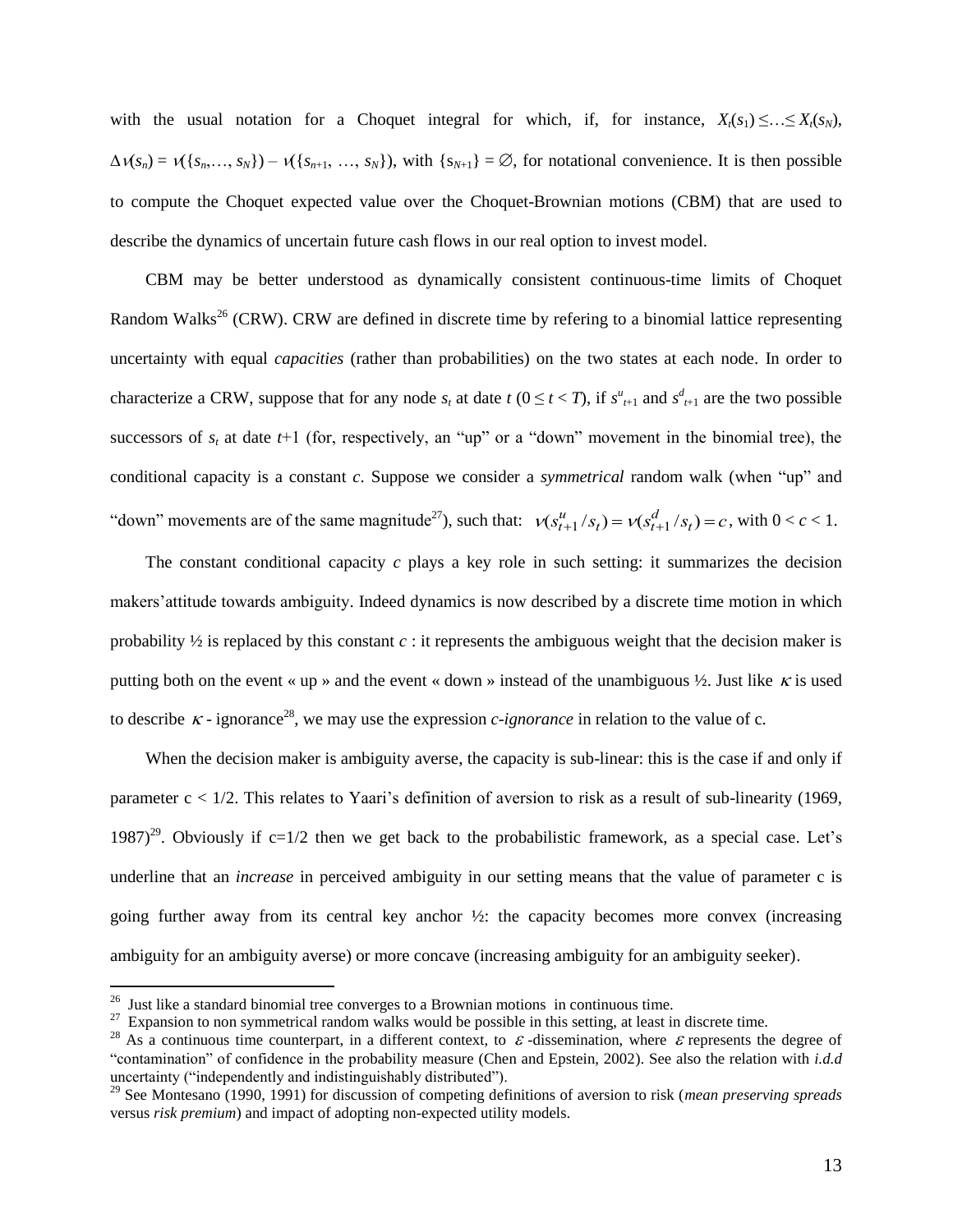with the usual notation for a Choquet integral for which, if, for instance,  $X_i(s_1) \leq ... \leq X_i(s_N)$ ,  $\Delta v(s_n) = v(\{s_n, \ldots, s_N\}) - v(\{s_{n+1}, \ldots, s_N\})$ , with  $\{s_{N+1}\} = \emptyset$ , for notational convenience. It is then possible to compute the Choquet expected value over the Choquet-Brownian motions (CBM) that are used to describe the dynamics of uncertain future cash flows in our real option to invest model.

CBM may be better understood as dynamically consistent continuous-time limits of Choquet Random Walks<sup>26</sup> (CRW). CRW are defined in discrete time by refering to a binomial lattice representing uncertainty with equal *capacities* (rather than probabilities) on the two states at each node. In order to characterize a CRW, suppose that for any node  $s_t$  at date  $t$  ( $0 \le t < T$ ), if  $s^u_{t+1}$  and  $s^d_{t+1}$  are the two possible successors of  $s_t$  at date  $t+1$  (for, respectively, an "up" or a "down" movement in the binomial tree), the conditional capacity is a constant *c*. Suppose we consider a *symmetrical* random walk (when "up" and "down" movements are of the same magnitude<sup>27</sup>), such that:  $v(s_{t+1}^u/s_t) = v(s_{t+1}^d/s_t) = c$ , with  $0 < c < 1$ .

 makers'attitude towards ambiguity. Indeed dynamics is now described by a discrete time motion in which The constant conditional capacity *c* plays a key role in such setting: it summarizes the decision probability ½ is replaced by this constant *c* : it represents the ambiguous weight that the decision maker is putting both on the event « up » and the event « down » instead of the unambiguous  $\frac{1}{2}$ . Just like  $\kappa$  is used to describe  $\kappa$ -ignorance<sup>28</sup>, we may use the expression *c*-ignorance in relation to the value of c.

When the decision maker is ambiguity averse, the capacity is sub-linear: this is the case if and only if parameter  $c < 1/2$ . This relates to Yaari's definition of aversion to risk as a result of sub-linearity (1969, 1987)<sup>29</sup>. Obviously if  $c=1/2$  then we get back to the probabilistic framework, as a special case. Let's underline that an *increase* in perceived ambiguity in our setting means that the value of parameter c is going further away from its central key anchor  $\frac{1}{2}$ : the capacity becomes more convex (increasing ambiguity for an ambiguity averse) or more concave (increasing ambiguity for an ambiguity seeker).

<sup>&</sup>lt;sup>26</sup> Just like a standard binomial tree converges to a Brownian motions in continuous time.

<sup>&</sup>lt;sup>27</sup> Expansion to non symmetrical random walks would be possible in this setting, at least in discrete time.

<sup>&</sup>lt;sup>28</sup> As a continuous time counterpart, in a different context, to  $\varepsilon$ -dissemination, where  $\varepsilon$  represents the degree of "contamination" of confidence in the probability measure (Chen and Epstein, 2002). See also the relation with *i.d.d* uncertainty ("independently and indistinguishably distributed").

<sup>29</sup> See Montesano (1990, 1991) for discussion of competing definitions of aversion to risk (*mean preserving spreads* versus *risk premium*) and impact of adopting non-expected utility models.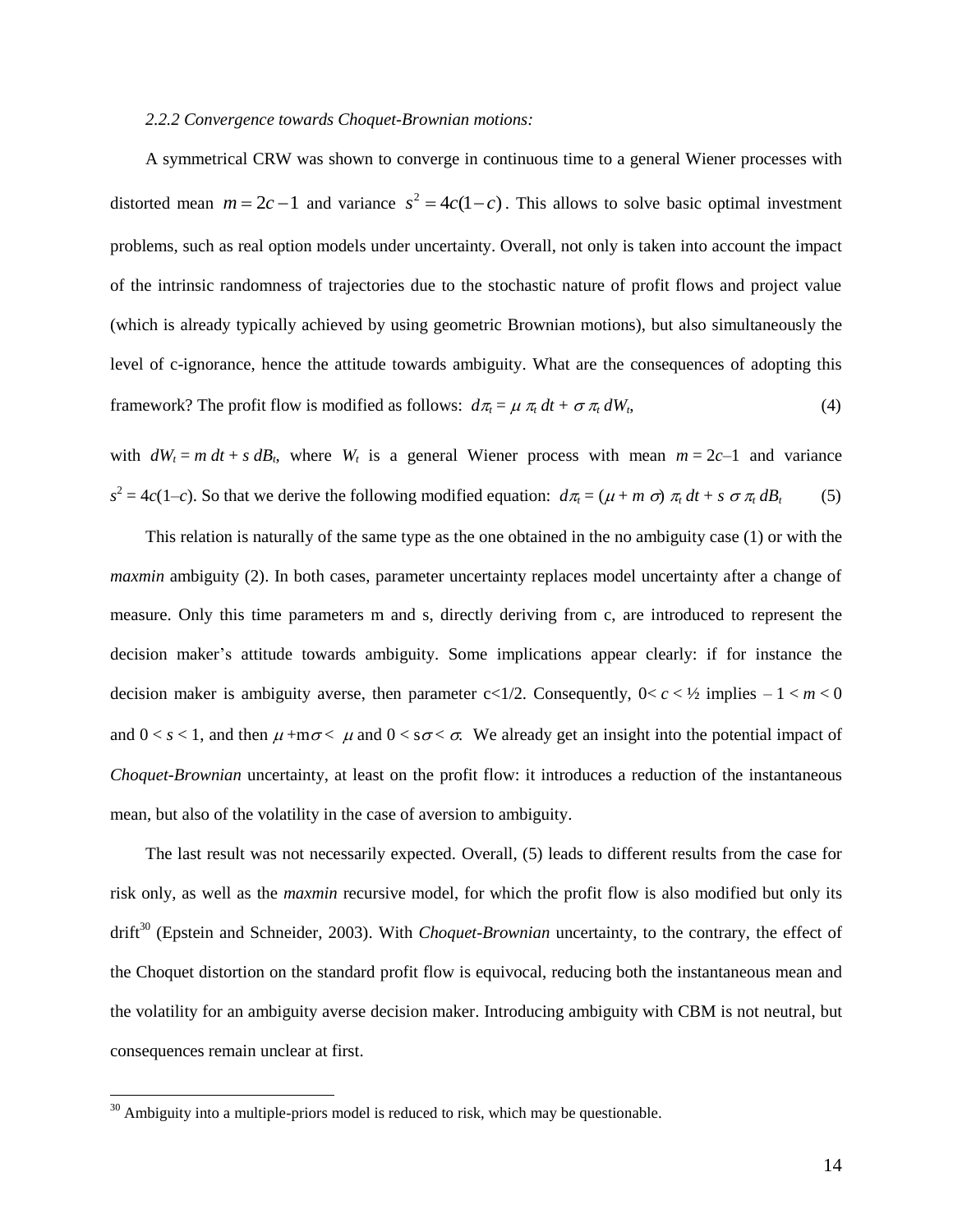#### *2.2.2 Convergence towards Choquet-Brownian motions:*

A symmetrical CRW was shown to converge in continuous time to a general Wiener processes with distorted mean  $m = 2c - 1$  and variance  $s^2 = 4c(1 - c)$ . This allows to solve basic optimal investment problems, such as real option models under uncertainty. Overall, not only is taken into account the impact of the intrinsic randomness of trajectories due to the stochastic nature of profit flows and project value (which is already typically achieved by using geometric Brownian motions), but also simultaneously the level of c-ignorance, hence the attitude towards ambiguity. What are the consequences of adopting this framework? The profit flow is modified as follows:  $d\pi_t = \mu \pi_t dt + \sigma \pi_t dW_t$ ,  $,$  (4)

with  $dW_t = m dt + s dB_t$ , where  $W_t$  is a general Wiener process with mean  $m = 2c-1$  and variance  $s^2 = 4c(1-c)$ . So that we derive the following modified equation:  $d\pi_t = (\mu + m \sigma) \pi_t dt + s \sigma \pi_t dB_t$ (5)

This relation is naturally of the same type as the one obtained in the no ambiguity case (1) or with the *maxmin* ambiguity (2). In both cases, parameter uncertainty replaces model uncertainty after a change of measure. Only this time parameters m and s, directly deriving from c, are introduced to represent the decision maker's attitude towards ambiguity. Some implications appear clearly: if for instance the decision maker is ambiguity averse, then parameter  $c<1/2$ . Consequently,  $0 < c < 1/2$  implies  $-1 < m < 0$ and  $0 < s < 1$ , and then  $\mu + m\sigma < \mu$  and  $0 < s\sigma < \sigma$ . We already get an insight into the potential impact of *Choquet-Brownian* uncertainty, at least on the profit flow: it introduces a reduction of the instantaneous mean, but also of the volatility in the case of aversion to ambiguity.

The last result was not necessarily expected. Overall, (5) leads to different results from the case for risk only, as well as the *maxmin* recursive model, for which the profit flow is also modified but only its drift<sup>30</sup> (Epstein and Schneider, 2003). With *Choquet-Brownian* uncertainty, to the contrary, the effect of the Choquet distortion on the standard profit flow is equivocal, reducing both the instantaneous mean and the volatility for an ambiguity averse decision maker. Introducing ambiguity with CBM is not neutral, but consequences remain unclear at first.

 $30$  Ambiguity into a multiple-priors model is reduced to risk, which may be questionable.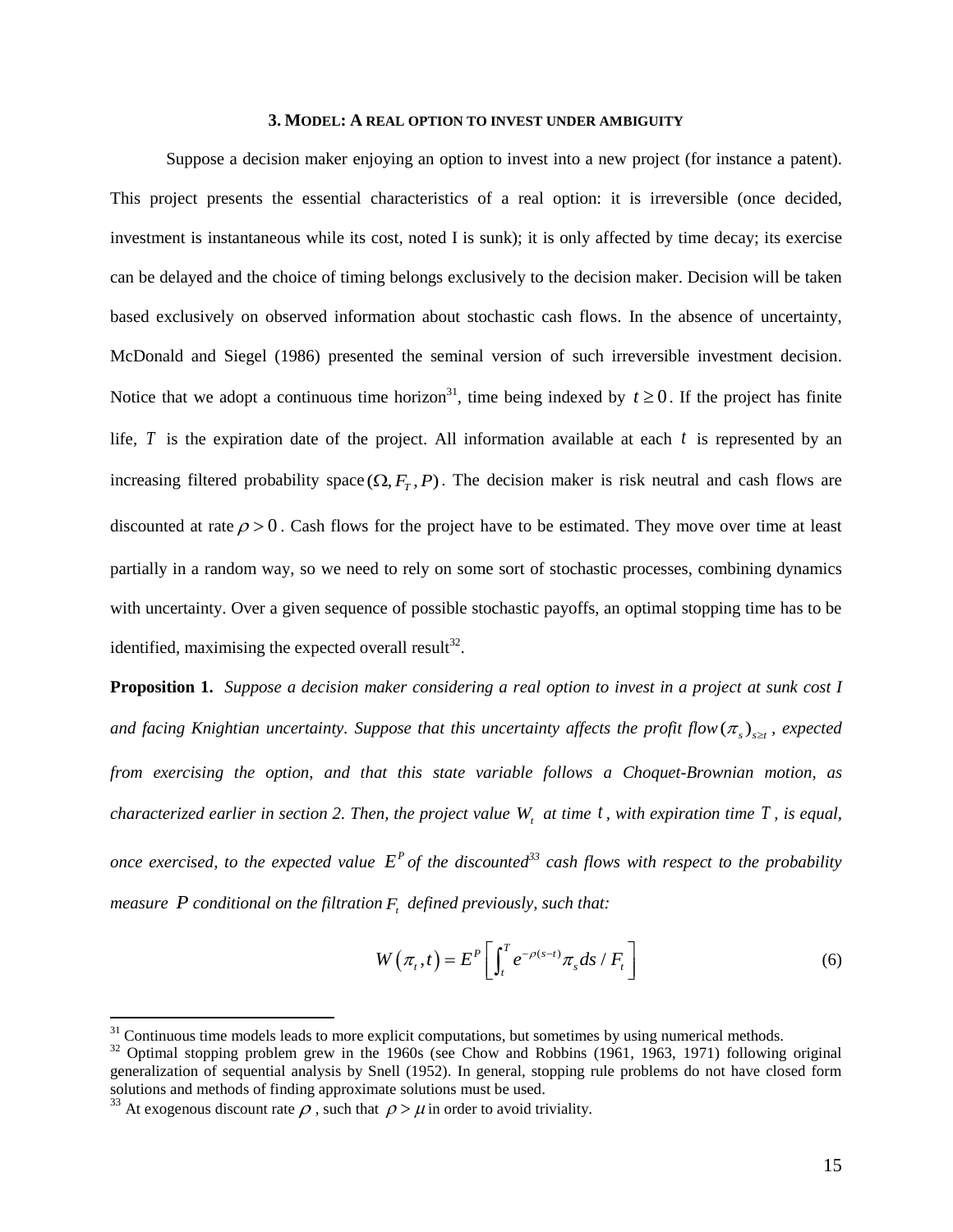#### **3. MODEL: A REAL OPTION TO INVEST UNDER AMBIGUITY**

Suppose a decision maker enjoying an option to invest into a new project (for instance a patent). This project presents the essential characteristics of a real option: it is irreversible (once decided, investment is instantaneous while its cost, noted I is sunk); it is only affected by time decay; its exercise can be delayed and the choice of timing belongs exclusively to the decision maker. Decision will be taken based exclusively on observed information about stochastic cash flows. In the absence of uncertainty, McDonald and Siegel (1986) presented the seminal version of such irreversible investment decision. Notice that we adopt a continuous time horizon<sup>31</sup>, time being indexed by  $t \ge 0$ . If the project has finite life,  $T$  is the expiration date of the project. All information available at each  $t$  is represented by an increasing filtered probability space  $(\Omega, F_T, P)$ . The decision maker is risk neutral and cash flows are discounted at rate  $\rho > 0$ . Cash flows for the project have to be estimated. They move over time at least partially in a random way, so we need to rely on some sort of stochastic processes, combining dynamics with uncertainty. Over a given sequence of possible stochastic payoffs, an optimal stopping time has to be identified, maximising the expected overall result<sup>32</sup>.

**Proposition 1.** *Suppose a decision maker considering a real option to invest in a project at sunk cost I* and facing Knightian uncertainty. Suppose that this uncertainty affects the profit flow $(\pi_s)_{s\geq t}$ , expected *from exercising the option, and that this state variable follows a Choquet-Brownian motion, as characterized earlier in section 2. Then, the project value Wt at time t , with expiration time T , is equal, once exercised, to the expected value*  $E^P$  *of the discounted*<sup>33</sup> *cash flows with respect to the probability measure*  $P$  conditional on the filtration  $F_t$  defined previously, such that:

$$
W(\pi_t, t) = E^P \left[ \int_t^T e^{-\rho(s-t)} \pi_s ds / F_t \right]
$$
 (6)

<sup>&</sup>lt;sup>31</sup> Continuous time models leads to more explicit computations, but sometimes by using numerical methods.

<sup>&</sup>lt;sup>32</sup> Optimal stopping problem grew in the 1960s (see Chow and Robbins (1961, 1963, 1971) following original generalization of sequential analysis by Snell (1952). In general, stopping rule problems do not have closed form solutions and methods of finding approximate solutions must be used.

<sup>&</sup>lt;sup>33</sup> At exogenous discount rate  $\rho$ , such that  $\rho > \mu$  in order to avoid triviality.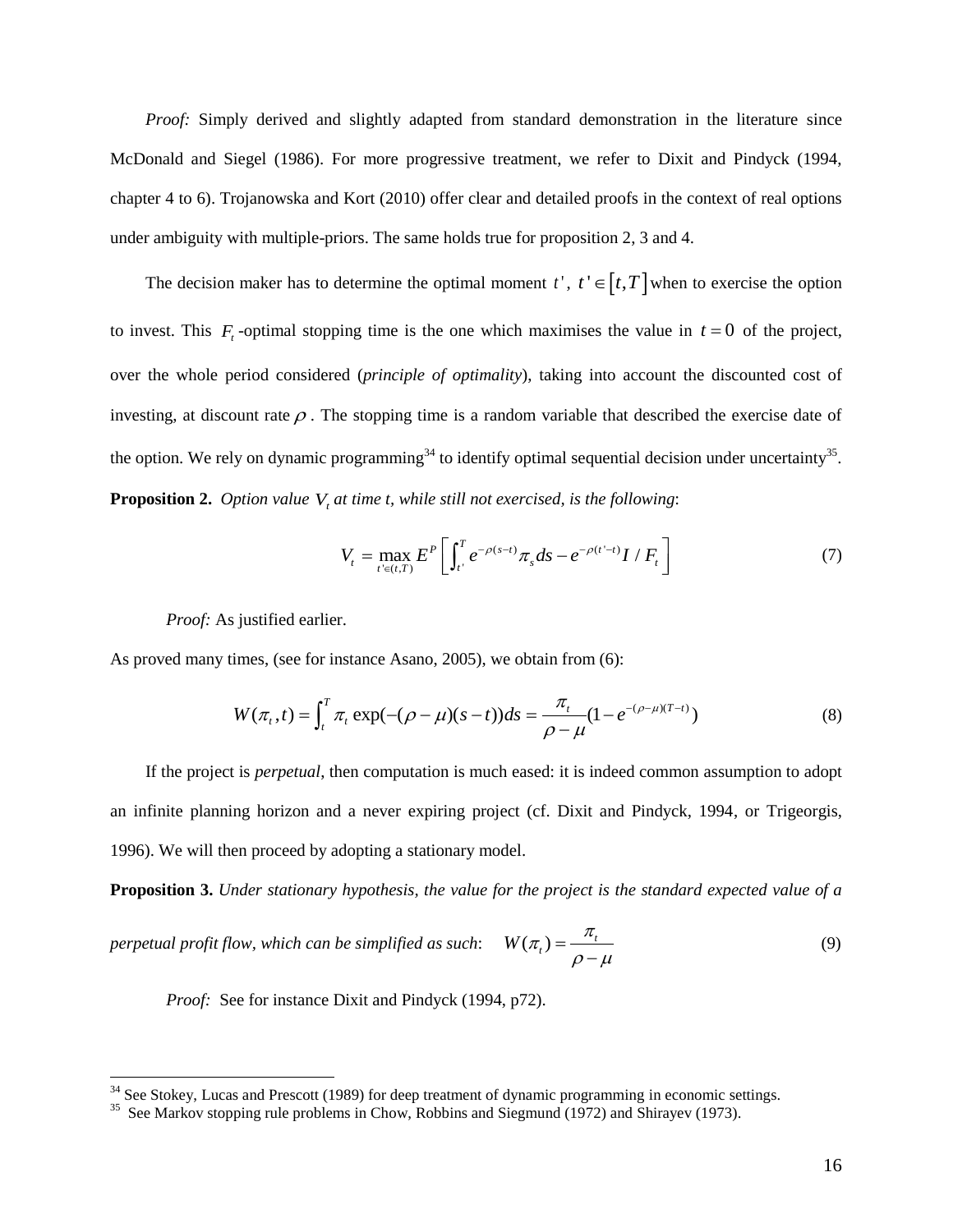*Proof:* Simply derived and slightly adapted from standard demonstration in the literature since McDonald and Siegel (1986). For more progressive treatment, we refer to Dixit and Pindyck (1994, chapter 4 to 6). Trojanowska and Kort (2010) offer clear and detailed proofs in the context of real options under ambiguity with multiple-priors. The same holds true for proposition 2, 3 and 4.

The decision maker has to determine the optimal moment  $t'$ ,  $t' \in [t, T]$  when to exercise the option to invest. This  $F_t$ -optimal stopping time is the one which maximises the value in  $t = 0$  of the project, over the whole period considered (*principle of optimality*), taking into account the discounted cost of investing, at discount rate  $\rho$ . The stopping time is a random variable that described the exercise date of the option. We rely on dynamic programming<sup>34</sup> to identify optimal sequential decision under uncertainty<sup>35</sup>. **Proposition 2.** Option value  $V_t$  at time t, while still not exercised, is the following:

$$
V_{t} = \max_{t' \in (t,T)} E^{P} \left[ \int_{t'}^{T} e^{-\rho(s-t)} \pi_{s} ds - e^{-\rho(t'-t)} I / F_{t} \right]
$$
(7)

*Proof:* As justified earlier.

 $\overline{a}$ 

As proved many times, (see for instance Asano, 2005), we obtain from (6):  
\n
$$
W(\pi_t, t) = \int_t^T \pi_t \exp(-(\rho - \mu)(s - t))ds = \frac{\pi_t}{\rho - \mu}(1 - e^{-(\rho - \mu)(T - t)})
$$
\n(8)

If the project is *perpetual*, then computation is much eased: it is indeed common assumption to adopt an infinite planning horizon and a never expiring project (cf. Dixit and Pindyck, 1994, or Trigeorgis, 1996). We will then proceed by adopting a stationary model.

**Proposition 3.** *Under stationary hypothesis, the value for the project is the standard expected value of a* 

*perpetual profit flow, which can be simplified as such:*  $W(\pi) = \frac{\pi_t}{\rho - \mu}$  $=$  $\overline{a}$ (9)

*Proof:* See for instance Dixit and Pindyck (1994, p72).

<sup>&</sup>lt;sup>34</sup> See Stokey, Lucas and Prescott (1989) for deep treatment of dynamic programming in economic settings.

<sup>&</sup>lt;sup>35</sup> See Markov stopping rule problems in Chow, Robbins and Siegmund (1972) and Shirayev (1973).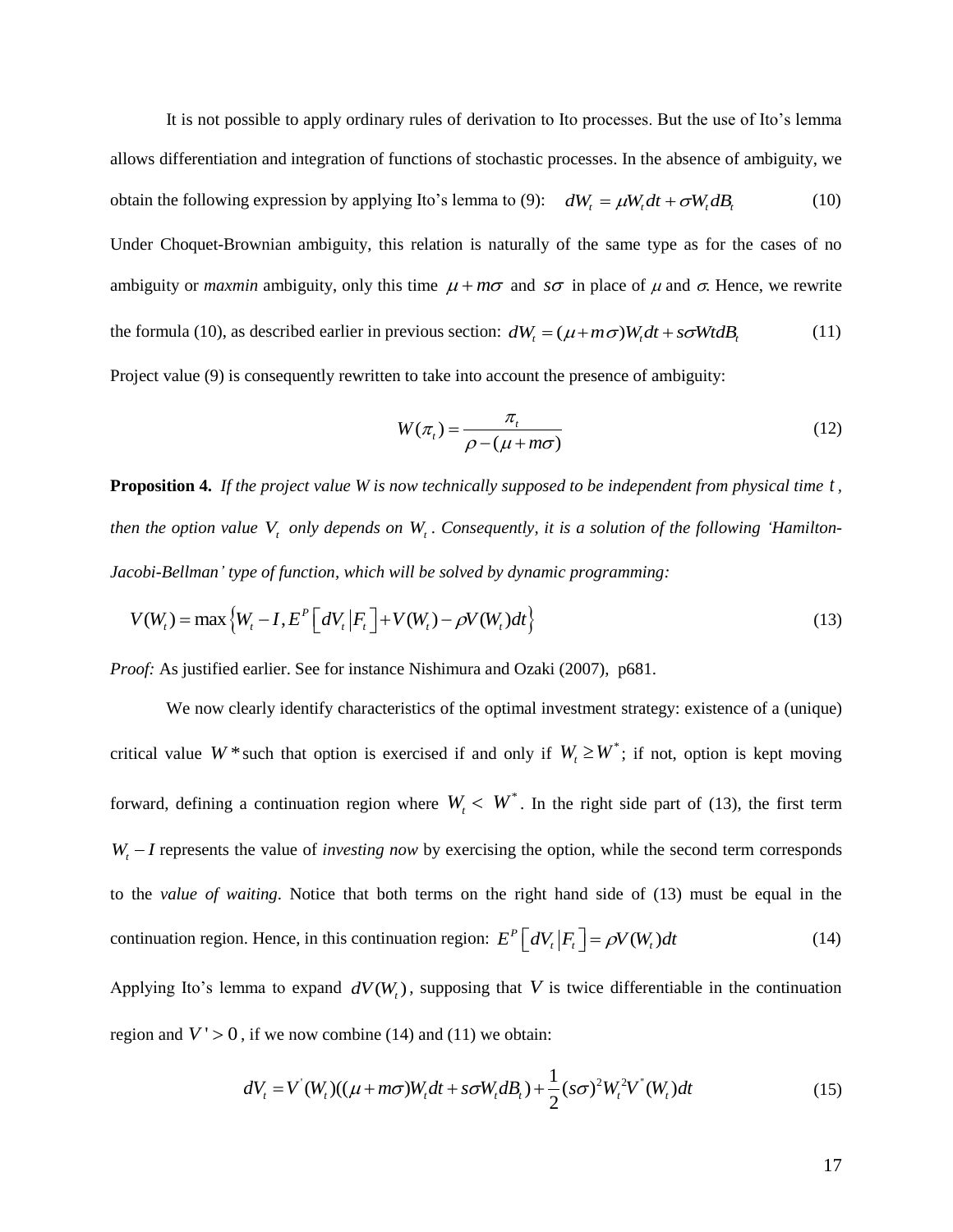It is not possible to apply ordinary rules of derivation to Ito processes. But the use of Ito's lemma allows differentiation and integration of functions of stochastic processes. In the absence of ambiguity, we obtain the following expression by applying Ito's lemma to (9):  $dW_t = \mu W_t dt + \sigma W_t dB_t$ (10)

Under Choquet-Brownian ambiguity, this relation is naturally of the same type as for the cases of no ambiguity or *maxmin* ambiguity, only this time  $\mu + m\sigma$  and  $s\sigma$  in place of  $\mu$  and  $\sigma$ . Hence, we rewrite the formula (10), as described earlier in previous section:  $dW_t = (\mu + m\sigma)W_t dt + s\sigma W t dB_t$  (11) Project value (9) is consequently rewritten to take into account the presence of ambiguity:

$$
W(\pi_t) = \frac{\pi_t}{\rho - (\mu + m\sigma)}
$$
\n(12)

**Proposition 4.** *If the project value W is now technically supposed to be independent from physical time t , then the option value*  $V_t$  *only depends on*  $W_t$ *. Consequently, it is a solution of the following "Hamilton-*

Jacobi-Bellman' type of function, which will be solved by dynamic programming:  
\n
$$
V(W_t) = \max \{ W_t - I, E^P \left[ dV_t | F_t \right] + V(W_t) - \rho V(W_t) dt \}
$$
\n(13)

*Proof:* As justified earlier. See for instance Nishimura and Ozaki (2007), p681.

We now clearly identify characteristics of the optimal investment strategy: existence of a (unique) critical value  $W^*$  such that option is exercised if and only if  $W_t \geq W^*$ ; if not, option is kept moving forward, defining a continuation region where  $W_t < W^*$ . In the right side part of (13), the first term  $W_t - I$  represents the value of *investing now* by exercising the option, while the second term corresponds to the *value of waiting*. Notice that both terms on the right hand side of (13) must be equal in the continuation region. Hence, in this continuation region:  $E^P \left[ dV_t | F_t \right] = \rho V(W_t) dt$ (14)

Applying Ito's lemma to expand  $dV(W_t)$ , supposing that V is twice differentiable in the continuation region and  $V' > 0$ , if we now combine (14) and (11) we obtain:

, if we now combine (14) and (11) we obtain:  
\n
$$
dV_t = V'(W_t)((\mu + m\sigma)W_t dt + s\sigma W_t dB_t) + \frac{1}{2}(s\sigma)^2 W_t^2 V''(W_t) dt
$$
\n(15)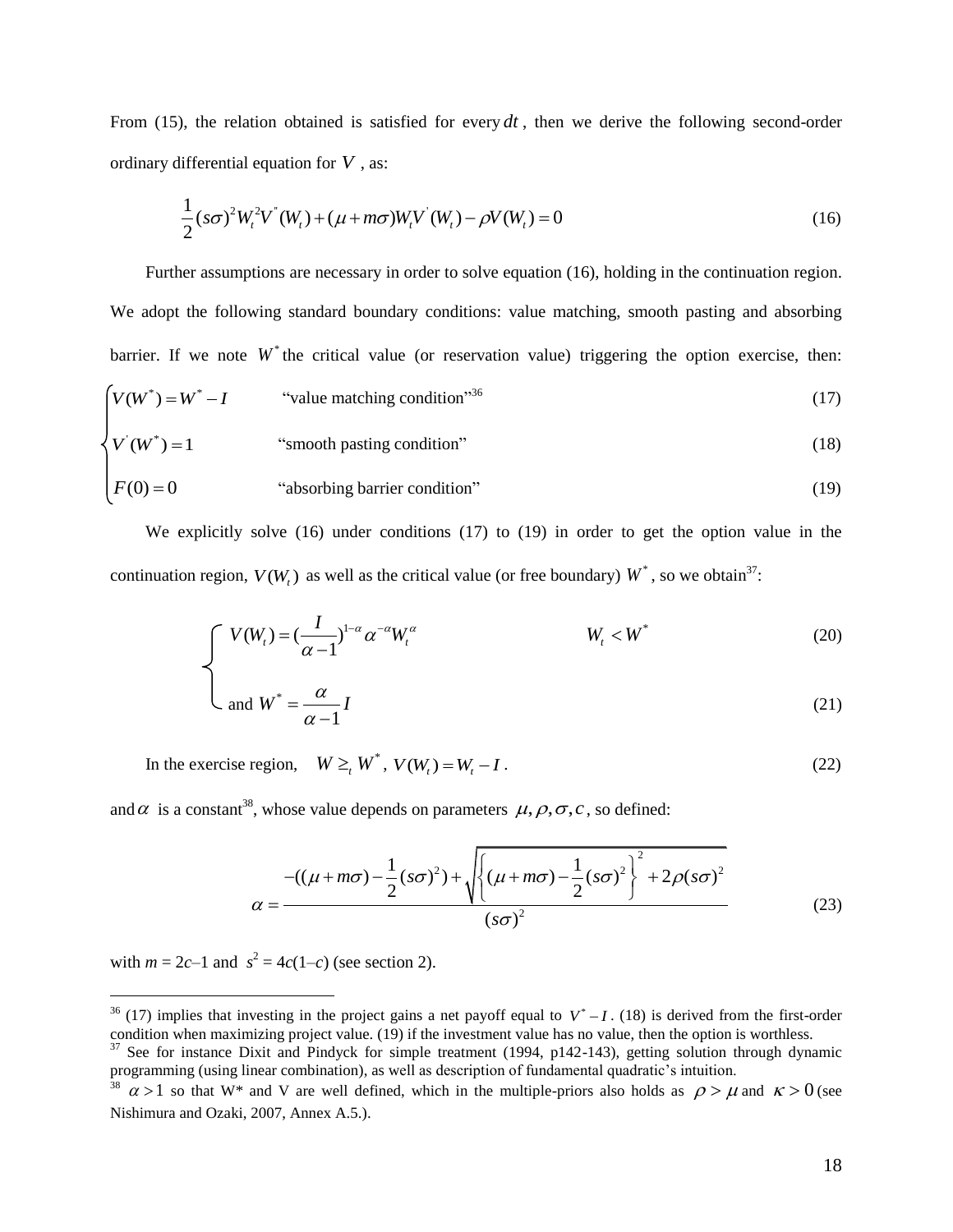From  $(15)$ , the relation obtained is satisfied for every  $dt$ , then we derive the following second-order ordinary differential equation for *V* , as:

$$
\frac{1}{2}(s\sigma)^{2}W_{t}^{2}V^{*}(W_{t}) + (\mu + m\sigma)W_{t}V^{'}(W_{t}) - \rho V(W_{t}) = 0
$$
\n(16)

Further assumptions are necessary in order to solve equation (16), holding in the continuation region. We adopt the following standard boundary conditions: value matching, smooth pasting and absorbing barrier. If we note  $W^*$  the critical value (or reservation value) triggering the option exercise, then:  $V(W^*) = W^* - I$  "value matching condition"<sup>36</sup> (17)  $V(W^*) = 1$  "smooth pasting condition" (18)

$$
F(0) = 0
$$
 "absorbing barrier condition" (19)

We explicitly solve (16) under conditions (17) to (19) in order to get the option value in the continuation region,  $V(W_t)$  as well as the critical value (or free boundary)  $W^*$ , so we obtain<sup>37</sup>:

$$
\begin{cases}\nV(W_t) = \left(\frac{I}{\alpha - 1}\right)^{1 - \alpha} \alpha^{-\alpha} W_t^{\alpha} & W_t < W^* \\
\vdots & \vdots \\
\alpha & \alpha \end{cases} \tag{20}
$$

$$
\bigcup \text{ and } W^* = \frac{\alpha}{\alpha - 1} I \tag{21}
$$

In the exercise region,  $W \geq_t W^*$ ,  $V(W_t) = W_t - I$ . (22)

and  $\alpha$  is a constant<sup>38</sup>, whose value depends on parameters  $\mu$ ,  $\rho$ ,  $\sigma$ ,  $c$ , so defined:

$$
\alpha = \frac{-((\mu + m\sigma) - \frac{1}{2}(s\sigma)^2) + \sqrt{\left\{(\mu + m\sigma) - \frac{1}{2}(s\sigma)^2\right\}^2 + 2\rho(s\sigma)^2}}
$$
\n
$$
\alpha = \frac{-((\mu + m\sigma) - \frac{1}{2}(s\sigma)^2) + \sqrt{\left\{(\mu + m\sigma) - \frac{1}{2}(s\sigma)^2\right\}^2 + 2\rho(s\sigma)^2}}
$$
\n(23)

with  $m = 2c-1$  and  $s^2 = 4c(1-c)$  (see section 2).

<sup>&</sup>lt;sup>36</sup> (17) implies that investing in the project gains a net payoff equal to  $V^* - I$ . (18) is derived from the first-order condition when maximizing project value. (19) if the investment value has no value, then the option is worthless.

<sup>&</sup>lt;sup>37</sup> See for instance Dixit and Pindyck for simple treatment (1994, p142-143), getting solution through dynamic programming (using linear combination), as well as description of fundamental quadratic's intuition.

<sup>&</sup>lt;sup>38</sup>  $\alpha > 1$  so that W<sup>\*</sup> and V are well defined, which in the multiple-priors also holds as  $\rho > \mu$  and  $\kappa > 0$  (see Nishimura and Ozaki, 2007, Annex A.5.).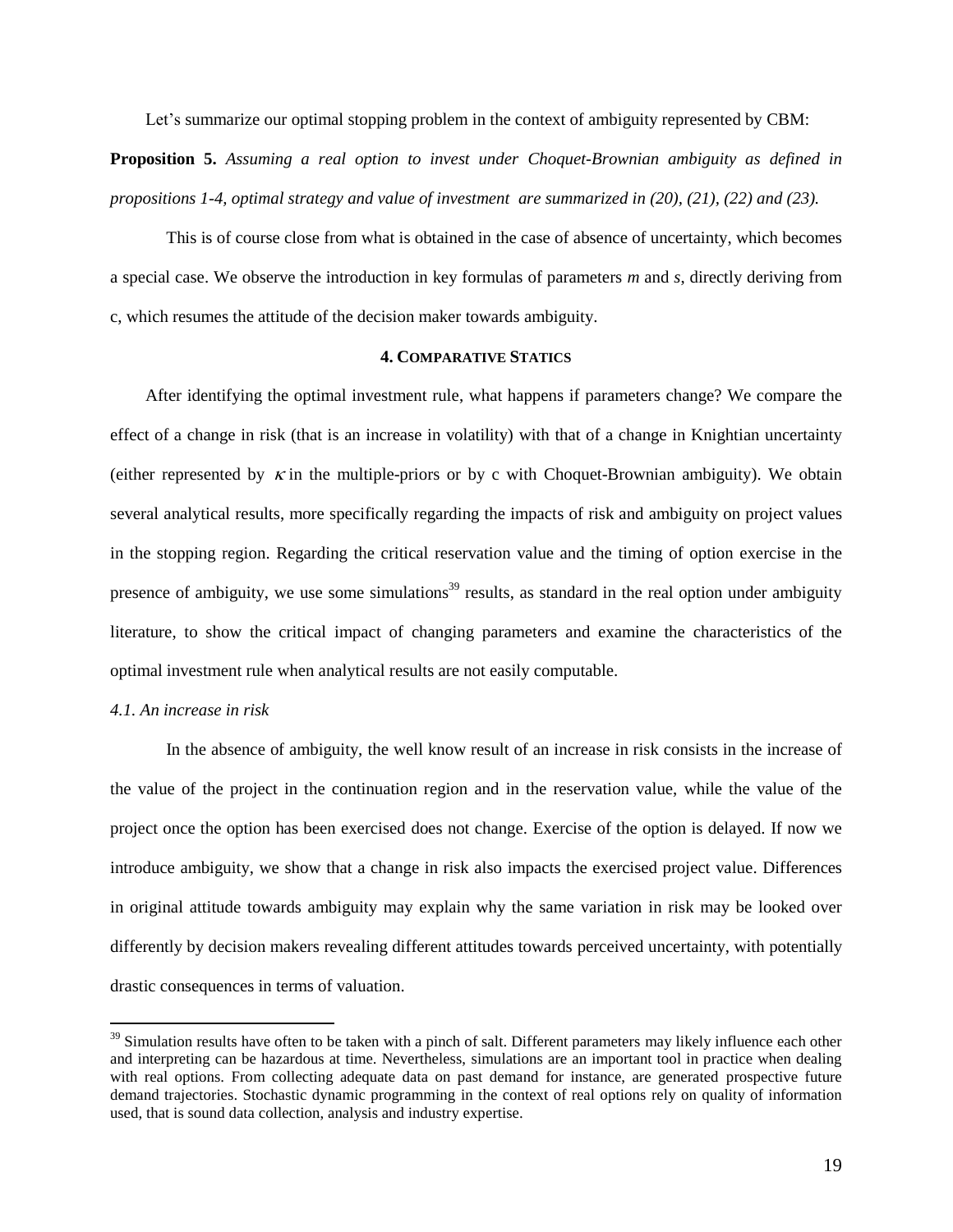Let's summarize our optimal stopping problem in the context of ambiguity represented by CBM:

**Proposition 5.** *Assuming a real option to invest under Choquet-Brownian ambiguity as defined in propositions 1-4, optimal strategy and value of investment are summarized in (20), (21), (22) and (23).*

This is of course close from what is obtained in the case of absence of uncertainty, which becomes a special case. We observe the introduction in key formulas of parameters *m* and *s*, directly deriving from c, which resumes the attitude of the decision maker towards ambiguity.

#### **4. COMPARATIVE STATICS**

After identifying the optimal investment rule, what happens if parameters change? We compare the effect of a change in risk (that is an increase in volatility) with that of a change in Knightian uncertainty (either represented by  $\kappa$  in the multiple-priors or by c with Choquet-Brownian ambiguity). We obtain several analytical results, more specifically regarding the impacts of risk and ambiguity on project values in the stopping region. Regarding the critical reservation value and the timing of option exercise in the presence of ambiguity, we use some simulations<sup>39</sup> results, as standard in the real option under ambiguity literature, to show the critical impact of changing parameters and examine the characteristics of the optimal investment rule when analytical results are not easily computable.

#### *4.1. An increase in risk*

 $\overline{a}$ 

In the absence of ambiguity, the well know result of an increase in risk consists in the increase of the value of the project in the continuation region and in the reservation value, while the value of the project once the option has been exercised does not change. Exercise of the option is delayed. If now we introduce ambiguity, we show that a change in risk also impacts the exercised project value. Differences in original attitude towards ambiguity may explain why the same variation in risk may be looked over differently by decision makers revealing different attitudes towards perceived uncertainty, with potentially drastic consequences in terms of valuation.

<sup>&</sup>lt;sup>39</sup> Simulation results have often to be taken with a pinch of salt. Different parameters may likely influence each other and interpreting can be hazardous at time. Nevertheless, simulations are an important tool in practice when dealing with real options. From collecting adequate data on past demand for instance, are generated prospective future demand trajectories. Stochastic dynamic programming in the context of real options rely on quality of information used, that is sound data collection, analysis and industry expertise.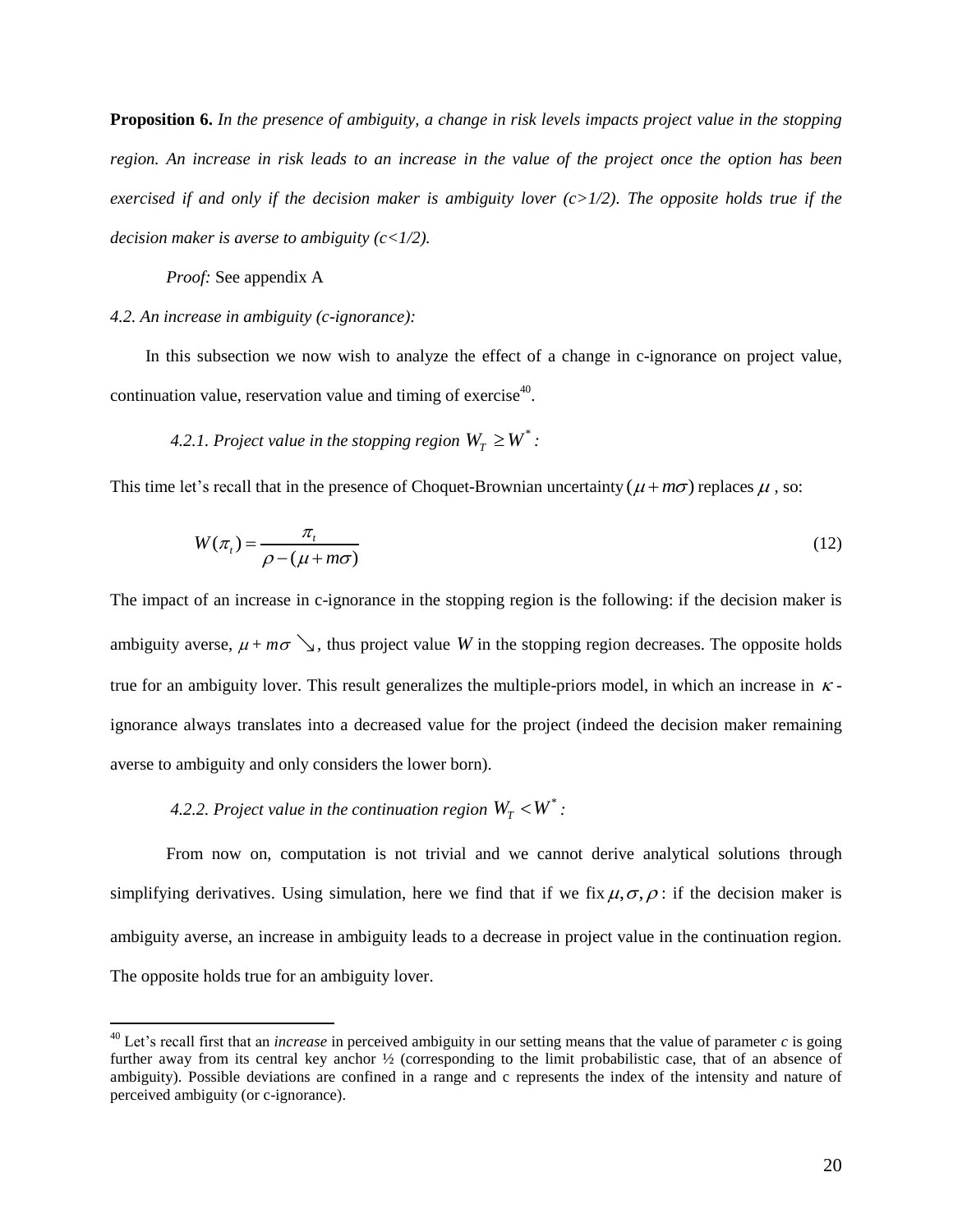**Proposition 6.** *In the presence of ambiguity, a change in risk levels impacts project value in the stopping region. An increase in risk leads to an increase in the value of the project once the option has been exercised if and only if the decision maker is ambiguity lover (c>1/2). The opposite holds true if the decision maker is averse to ambiguity (c<1/2).* 

*Proof:* See appendix A

 $\overline{a}$ 

#### *4.2. An increase in ambiguity (c-ignorance):*

In this subsection we now wish to analyze the effect of a change in c-ignorance on project value, continuation value, reservation value and timing of exercise<sup>40</sup>.

4.2.1. Project value in the stopping region  $W_T \geq W^*$  :

This time let's recall that in the presence of Choquet-Brownian uncertainty  $(\mu + m\sigma)$  replaces  $\mu$ , so:

$$
W(\pi_t) = \frac{\pi_t}{\rho - (\mu + m\sigma)}
$$
(12)

The impact of an increase in c-ignorance in the stopping region is the following: if the decision maker is ambiguity averse,  $\mu + m\sigma$ , thus project value W in the stopping region decreases. The opposite holds true for an ambiguity lover. This result generalizes the multiple-priors model, in which an increase in  $\kappa$ ignorance always translates into a decreased value for the project (indeed the decision maker remaining averse to ambiguity and only considers the lower born).

### 4.2.2. Project value in the continuation region  $W_T < W^*$  :

From now on, computation is not trivial and we cannot derive analytical solutions through simplifying derivatives. Using simulation, here we find that if we fix  $\mu, \sigma, \rho$ : if the decision maker is ambiguity averse, an increase in ambiguity leads to a decrease in project value in the continuation region. The opposite holds true for an ambiguity lover.

<sup>&</sup>lt;sup>40</sup> Let's recall first that an *increase* in perceived ambiguity in our setting means that the value of parameter  $c$  is going further away from its central key anchor ½ (corresponding to the limit probabilistic case, that of an absence of ambiguity). Possible deviations are confined in a range and c represents the index of the intensity and nature of perceived ambiguity (or c-ignorance).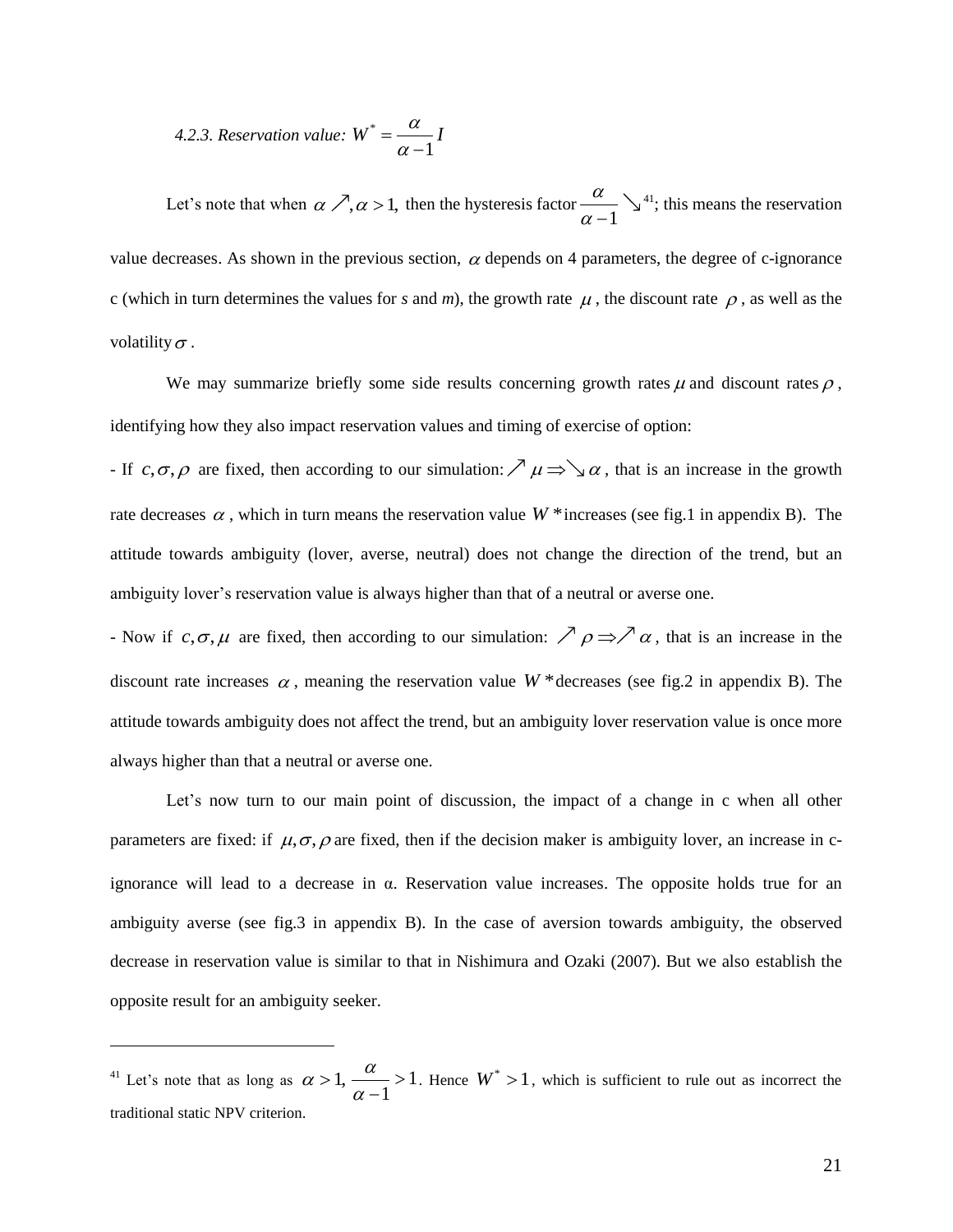4.2.3. Reservation value: 
$$
W^* = \frac{\alpha}{\alpha - 1}I
$$

Let's note that when  $\alpha \nearrow, \alpha > 1$ , then the hysteresis factor 1 α  $\alpha -$ <sup>41</sup>; this means the reservation value decreases. As shown in the previous section,  $\alpha$  depends on 4 parameters, the degree of c-ignorance c (which in turn determines the values for *s* and *m*), the growth rate  $\mu$ , the discount rate  $\rho$ , as well as the volatility  $\sigma$ .

We may summarize briefly some side results concerning growth rates  $\mu$  and discount rates  $\rho$ , identifying how they also impact reservation values and timing of exercise of option:

- If  $c, \sigma, \rho$  are fixed, then according to our simulation:  $\nearrow \mu \Rightarrow \searrow \alpha$ , that is an increase in the growth rate decreases  $\alpha$ , which in turn means the reservation value  $W^*$  increases (see fig.1 in appendix B). The attitude towards ambiguity (lover, averse, neutral) does not change the direction of the trend, but an ambiguity lover's reservation value is always higher than that of a neutral or averse one.

- Now if  $c, \sigma, \mu$  are fixed, then according to our simulation:  $\nearrow \rho \Rightarrow \nearrow \alpha$ , that is an increase in the discount rate increases  $\alpha$ , meaning the reservation value  $W^*$  decreases (see fig.2 in appendix B). The attitude towards ambiguity does not affect the trend, but an ambiguity lover reservation value is once more always higher than that a neutral or averse one.

Let's now turn to our main point of discussion, the impact of a change in c when all other parameters are fixed: if  $\mu$ ,  $\sigma$ ,  $\rho$  are fixed, then if the decision maker is ambiguity lover, an increase in cignorance will lead to a decrease in α. Reservation value increases. The opposite holds true for an ambiguity averse (see fig.3 in appendix B). In the case of aversion towards ambiguity, the observed decrease in reservation value is similar to that in Nishimura and Ozaki (2007). But we also establish the opposite result for an ambiguity seeker.

<sup>&</sup>lt;sup>41</sup> Let's note that as long as  $\alpha > 1$ ,  $\frac{\alpha}{\alpha} > 1$ 1  $\alpha$  $\frac{\alpha}{\alpha-1}$ >  $\frac{x}{-1} > 1$ . Hence  $W^* > 1$ , which is sufficient to rule out as incorrect the traditional static NPV criterion.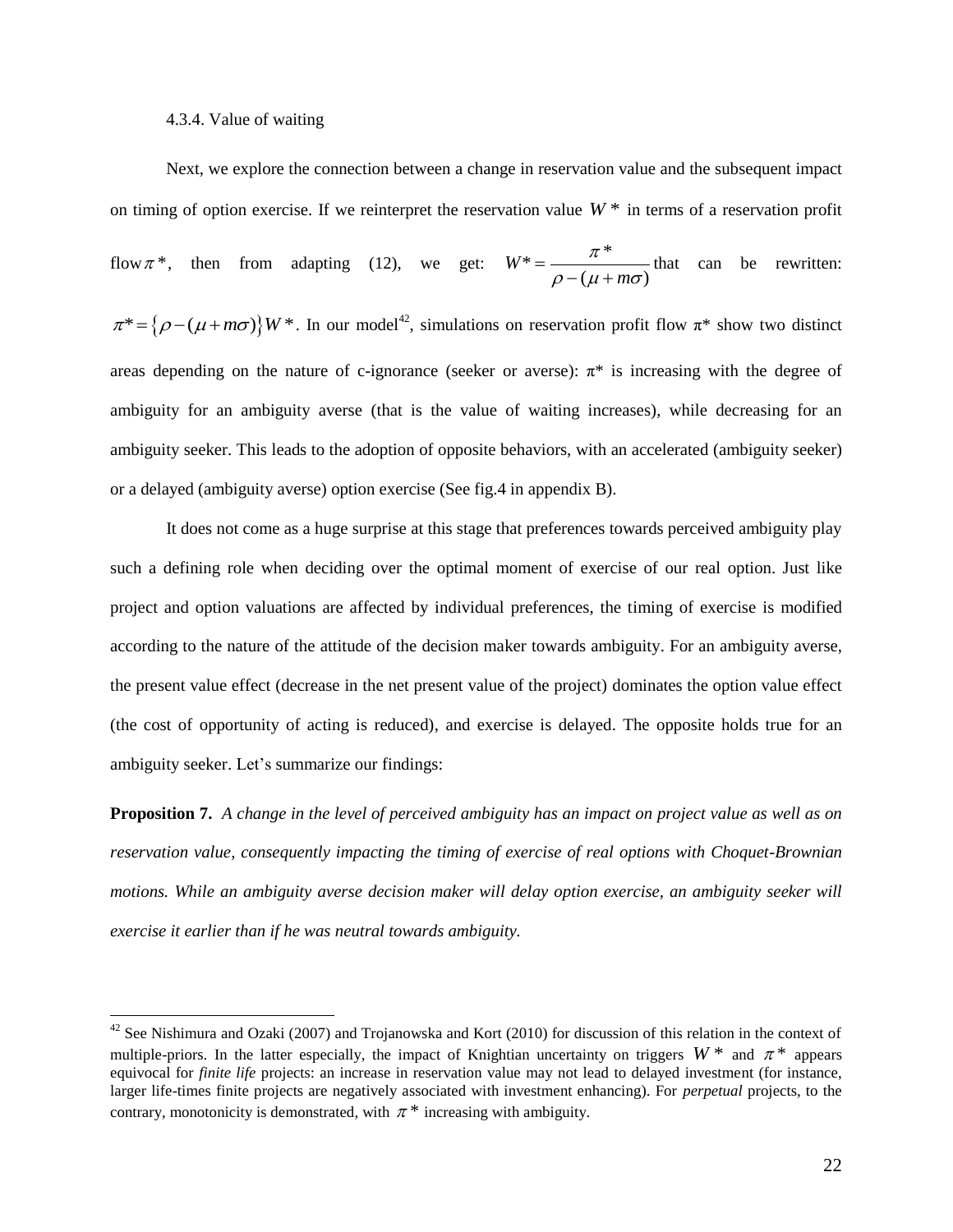#### 4.3.4. Value of waiting

 $\overline{a}$ 

Next, we explore the connection between a change in reservation value and the subsequent impact on timing of option exercise. If we reinterpret the reservation value  $W^*$  in terms of a reservation profit flow  $\pi^*$ , then from adapting (12), we get:  $W^* = \frac{\pi^*}{\rho - (\mu + m\sigma)}$ *m* π  $=\frac{\pi}{\rho - (\mu + m\sigma)}$  that can be rewritten:  $\pi^* = {\rho - (\mu + m\sigma)} W^*$ . In our model<sup>42</sup>, simulations on reservation profit flow  $\pi^*$  show two distinct areas depending on the nature of c-ignorance (seeker or averse):  $\pi^*$  is increasing with the degree of ambiguity for an ambiguity averse (that is the value of waiting increases), while decreasing for an ambiguity seeker. This leads to the adoption of opposite behaviors, with an accelerated (ambiguity seeker) or a delayed (ambiguity averse) option exercise (See fig.4 in appendix B).

It does not come as a huge surprise at this stage that preferences towards perceived ambiguity play such a defining role when deciding over the optimal moment of exercise of our real option. Just like project and option valuations are affected by individual preferences, the timing of exercise is modified according to the nature of the attitude of the decision maker towards ambiguity. For an ambiguity averse, the present value effect (decrease in the net present value of the project) dominates the option value effect (the cost of opportunity of acting is reduced), and exercise is delayed. The opposite holds true for an ambiguity seeker. Let's summarize our findings:

**Proposition 7.** *A change in the level of perceived ambiguity has an impact on project value as well as on reservation value, consequently impacting the timing of exercise of real options with Choquet-Brownian motions. While an ambiguity averse decision maker will delay option exercise, an ambiguity seeker will exercise it earlier than if he was neutral towards ambiguity.*

<sup>&</sup>lt;sup>42</sup> See Nishimura and Ozaki (2007) and Trojanowska and Kort (2010) for discussion of this relation in the context of multiple-priors. In the latter especially, the impact of Knightian uncertainty on triggers  $W^*$  and  $\pi^*$  appears equivocal for *finite life* projects: an increase in reservation value may not lead to delayed investment (for instance, larger life-times finite projects are negatively associated with investment enhancing). For *perpetual* projects, to the contrary, monotonicity is demonstrated, with  $\pi^*$  increasing with ambiguity.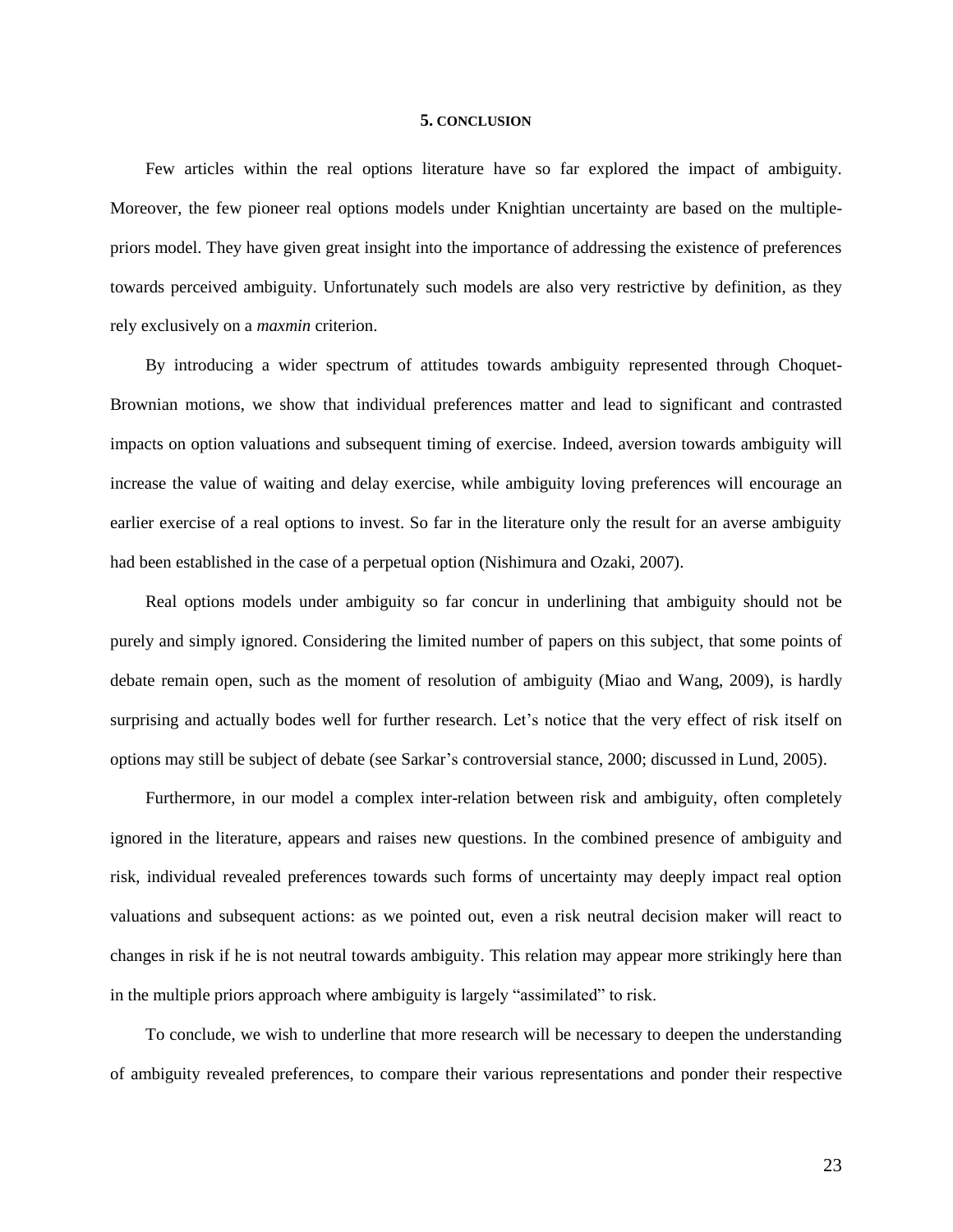#### **5. CONCLUSION**

Few articles within the real options literature have so far explored the impact of ambiguity. Moreover, the few pioneer real options models under Knightian uncertainty are based on the multiplepriors model. They have given great insight into the importance of addressing the existence of preferences towards perceived ambiguity. Unfortunately such models are also very restrictive by definition, as they rely exclusively on a *maxmin* criterion.

By introducing a wider spectrum of attitudes towards ambiguity represented through Choquet-Brownian motions, we show that individual preferences matter and lead to significant and contrasted impacts on option valuations and subsequent timing of exercise. Indeed, aversion towards ambiguity will increase the value of waiting and delay exercise, while ambiguity loving preferences will encourage an earlier exercise of a real options to invest. So far in the literature only the result for an averse ambiguity had been established in the case of a perpetual option (Nishimura and Ozaki, 2007).

Real options models under ambiguity so far concur in underlining that ambiguity should not be purely and simply ignored. Considering the limited number of papers on this subject, that some points of debate remain open, such as the moment of resolution of ambiguity (Miao and Wang, 2009), is hardly surprising and actually bodes well for further research. Let's notice that the very effect of risk itself on options may still be subject of debate (see Sarkar's controversial stance, 2000; discussed in Lund, 2005).

Furthermore, in our model a complex inter-relation between risk and ambiguity, often completely ignored in the literature, appears and raises new questions. In the combined presence of ambiguity and risk, individual revealed preferences towards such forms of uncertainty may deeply impact real option valuations and subsequent actions: as we pointed out, even a risk neutral decision maker will react to changes in risk if he is not neutral towards ambiguity. This relation may appear more strikingly here than in the multiple priors approach where ambiguity is largely "assimilated" to risk.

To conclude, we wish to underline that more research will be necessary to deepen the understanding of ambiguity revealed preferences, to compare their various representations and ponder their respective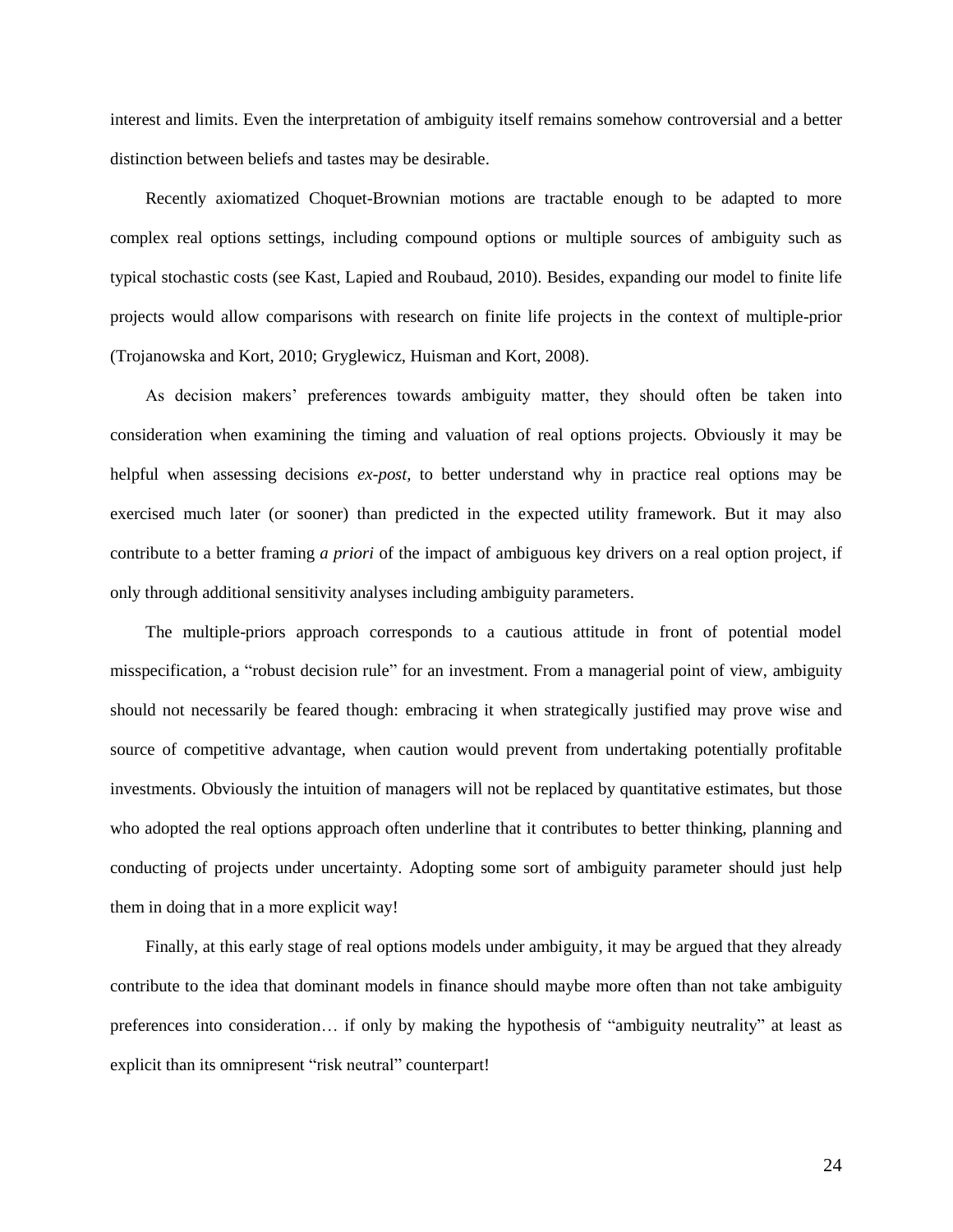interest and limits. Even the interpretation of ambiguity itself remains somehow controversial and a better distinction between beliefs and tastes may be desirable.

Recently axiomatized Choquet-Brownian motions are tractable enough to be adapted to more complex real options settings, including compound options or multiple sources of ambiguity such as typical stochastic costs (see Kast, Lapied and Roubaud, 2010). Besides, expanding our model to finite life projects would allow comparisons with research on finite life projects in the context of multiple-prior (Trojanowska and Kort, 2010; Gryglewicz, Huisman and Kort, 2008).

As decision makers' preferences towards ambiguity matter, they should often be taken into consideration when examining the timing and valuation of real options projects. Obviously it may be helpful when assessing decisions *ex-post,* to better understand why in practice real options may be exercised much later (or sooner) than predicted in the expected utility framework. But it may also contribute to a better framing *a priori* of the impact of ambiguous key drivers on a real option project, if only through additional sensitivity analyses including ambiguity parameters.

The multiple-priors approach corresponds to a cautious attitude in front of potential model misspecification, a "robust decision rule" for an investment. From a managerial point of view, ambiguity should not necessarily be feared though: embracing it when strategically justified may prove wise and source of competitive advantage, when caution would prevent from undertaking potentially profitable investments. Obviously the intuition of managers will not be replaced by quantitative estimates, but those who adopted the real options approach often underline that it contributes to better thinking, planning and conducting of projects under uncertainty. Adopting some sort of ambiguity parameter should just help them in doing that in a more explicit way!

Finally, at this early stage of real options models under ambiguity, it may be argued that they already contribute to the idea that dominant models in finance should maybe more often than not take ambiguity preferences into consideration… if only by making the hypothesis of "ambiguity neutrality" at least as explicit than its omnipresent "risk neutral" counterpart!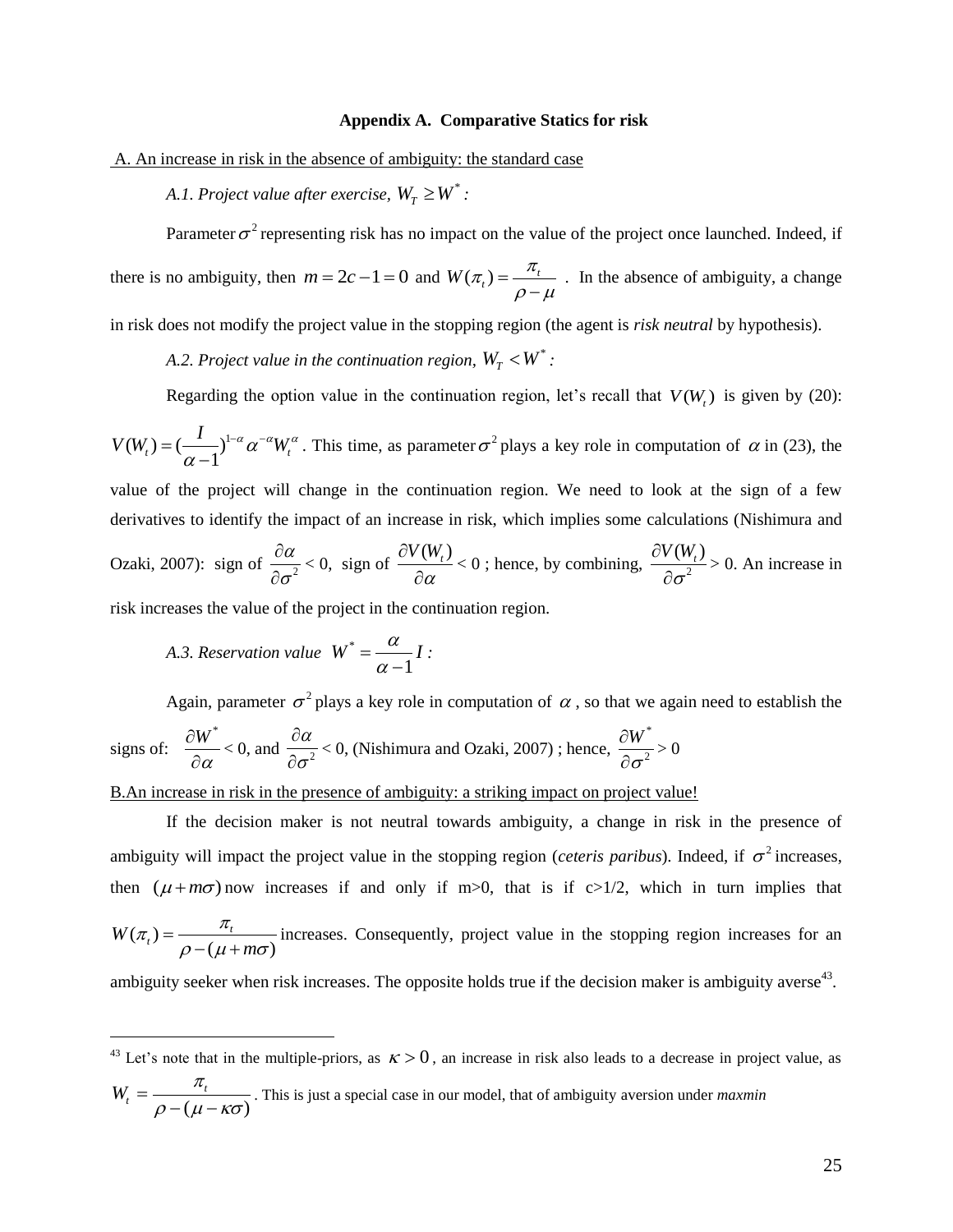#### **Appendix A. Comparative Statics for risk**

A. An increase in risk in the absence of ambiguity: the standard case

A.1. Project value after exercise,  $W_T \geq W^*$  :

Parameter  $\sigma^2$  representing risk has no impact on the value of the project once launched. Indeed, if there is no ambiguity, then  $m = 2c - 1 = 0$  and  $W(\pi_t) = \frac{\pi_t}{\rho - \mu}$  $=$ -. In the absence of ambiguity, a change in risk does not modify the project value in the stopping region (the agent is *risk neutral* by hypothesis).

A.2. Project value in the continuation region,  $W_T < W^*$  :

Regarding the option value in the continuation region, let's recall that  $V(W_t)$  is given by (20):

 $(W_t) = (\frac{I}{\alpha - 1})^{1-\alpha} \alpha^{-\alpha} W_t$  $V(W_t) = (\frac{I}{\alpha - 1})^{1-\alpha} \alpha^{-\alpha} W_t^{\alpha}.$  $=(-\frac{I}{\cdot})^{1-\alpha}\alpha^{-\alpha}V$  $\overline{\phantom{a}}$ . This time, as parameter  $\sigma^2$  plays a key role in computation of  $\alpha$  in (23), the value of the project will change in the continuation region. We need to look at the sign of a few derivatives to identify the impact of an increase in risk, which implies some calculations (Nishimura and Ozaki, 2007): sign of  $\frac{5\alpha}{2}$ α σ  $\partial$  $\partial$  $< 0$ , sign of  $\frac{\partial V(W_t)}{\partial t}$ α  $\partial$  $\partial$  $<$  0; hence, by combining,  $\frac{1}{2}$  $V(W_t)$ σ  $\partial$  $\partial$ > 0. An increase in risk increases the value of the project in the continuation region.

*A.3. Reservation value*  \* 1  $W^* = \frac{\alpha}{\alpha - 1}I$  $\overline{\phantom{a}}$ *:*

 $\overline{a}$ 

Again, parameter  $\sigma^2$  plays a key role in computation of  $\alpha$ , so that we again need to establish the

signs of: 
$$
\frac{\partial W^*}{\partial \alpha} < 0
$$
, and  $\frac{\partial \alpha}{\partial \sigma^2} < 0$ , (Nishimura and Ozaki, 2007); hence,  $\frac{\partial W^*}{\partial \sigma^2} > 0$ 

B.An increase in risk in the presence of ambiguity: a striking impact on project value!

If the decision maker is not neutral towards ambiguity, a change in risk in the presence of ambiguity will impact the project value in the stopping region (*ceteris paribus*). Indeed, if  $\sigma^2$  increases, then  $(\mu + m\sigma)$  now increases if and only if m>0, that is if c>1/2, which in turn implies that  $(\pi)$  $W(\pi_t) = \frac{n_t}{\rho - (\mu + m\sigma)}$  $\pi_t = \frac{\pi_t}{\rho - (\mu + m\sigma)}$  increases. Consequently, project value in the stopping region increases for an ambiguity seeker when risk increases. The opposite holds true if the decision maker is ambiguity averse<sup>43</sup>.

<sup>43</sup> Let's note that in the multiple-priors, as  $\kappa > 0$ , an increase in risk also leads to a decrease in project value, as  $W_t = \frac{\pi_t}{\rho - (\mu - \kappa \sigma)}$  $=\frac{n_i}{\rho - (\mu - \kappa \sigma)}$ . This is just a special case in our model, that of ambiguity aversion under *maxmin*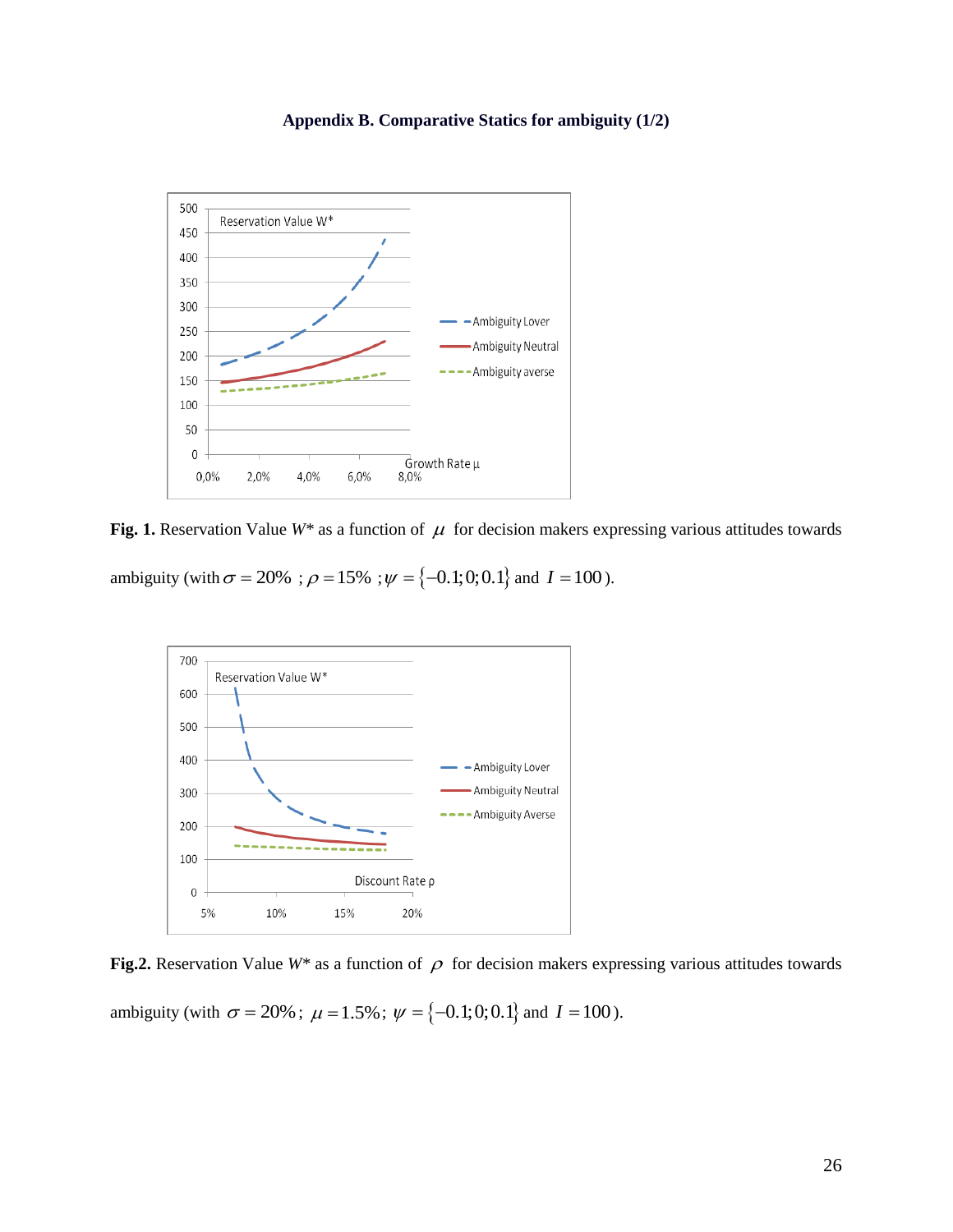



Fig. 1. Reservation Value  $W^*$  as a function of  $\mu$  for decision makers expressing various attitudes towards

ambiguity (with  $\sigma = 20\%$ ;  $\rho = 15\%$ ;  $\psi = \{-0.1, 0, 0.1\}$  and  $I = 100$ ).



Fig.2. Reservation Value  $W^*$  as a function of  $\rho$  for decision makers expressing various attitudes towards

ambiguity (with  $\sigma = 20\%$ ;  $\mu = 1.5\%$ ;  $\psi = \{-0.1, 0, 0.1\}$  and  $I = 100$ ).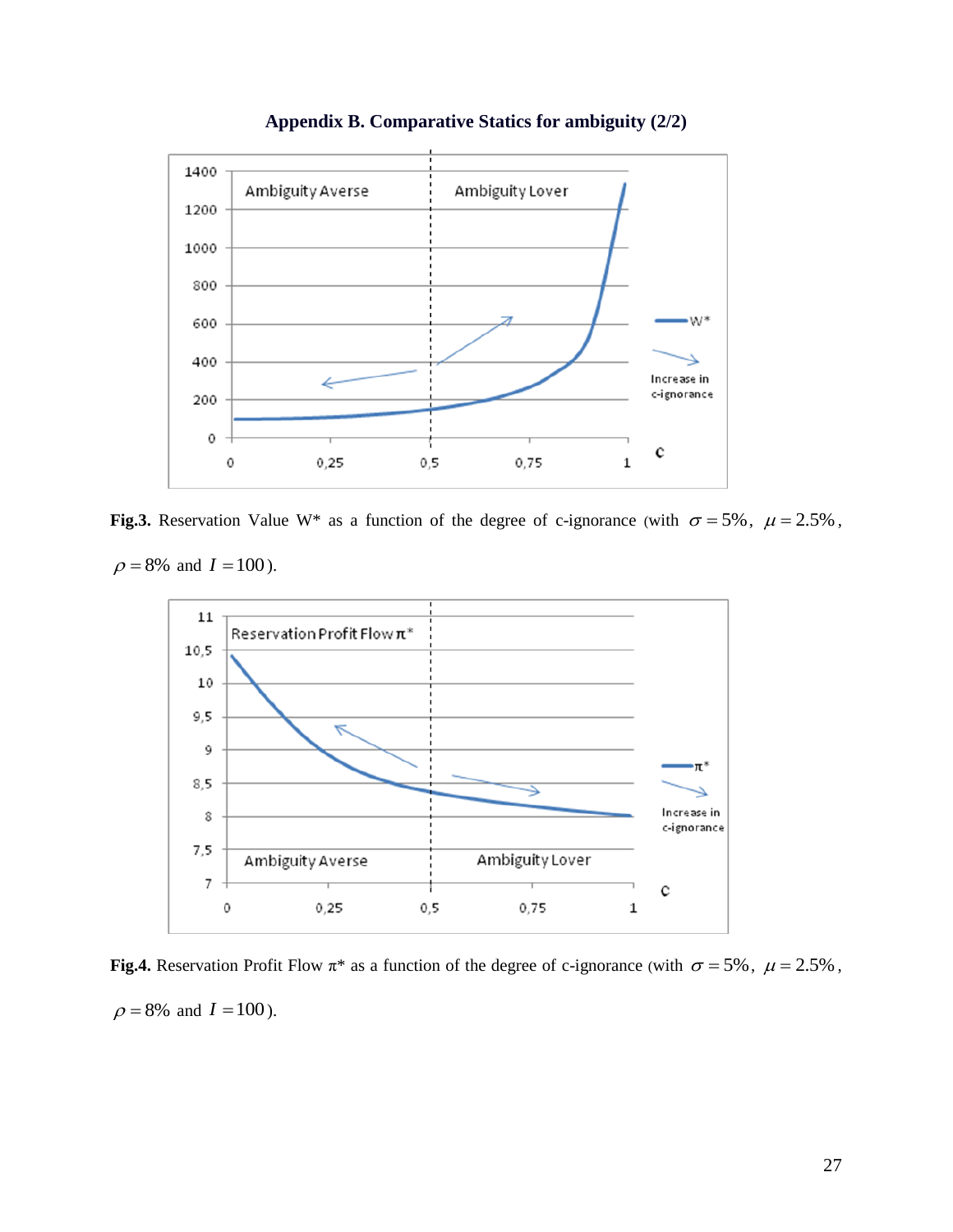

**Appendix B. Comparative Statics for ambiguity (2/2)** 

Fig.3. Reservation Value W<sup>\*</sup> as a function of the degree of c-ignorance (with  $\sigma = 5\%$ ,  $\mu = 2.5\%$ ,

 $\rho = 8\%$  and  $I = 100$ ).



**Fig.4.** Reservation Profit Flow  $\pi^*$  as a function of the degree of c-ignorance (with  $\sigma = 5\%$ ,  $\mu = 2.5\%$ ,  $\rho = 8\%$  and  $I = 100$ ).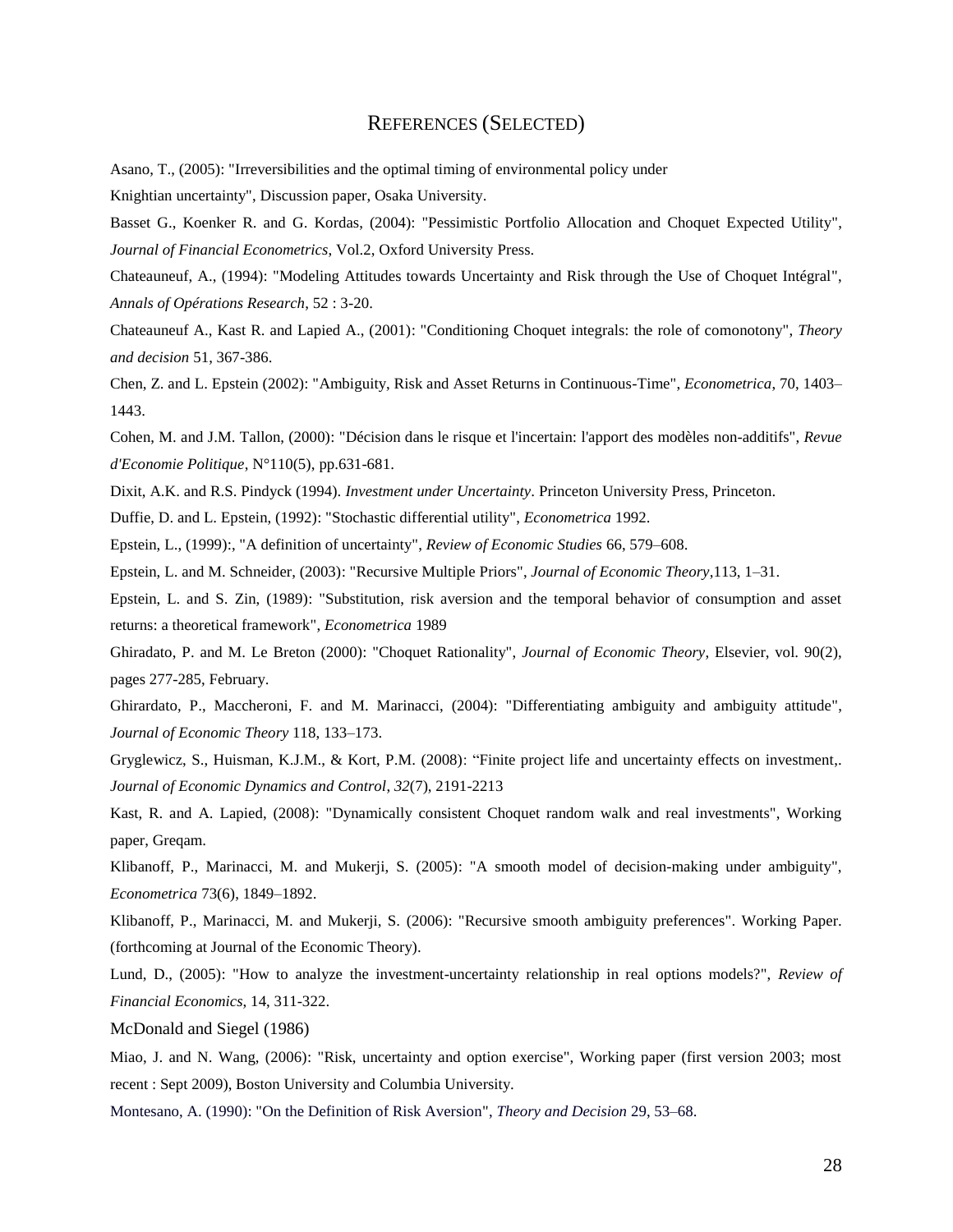#### REFERENCES (SELECTED)

Asano, T., (2005): "Irreversibilities and the optimal timing of environmental policy under

Knightian uncertainty", Discussion paper, Osaka University.

Basset G., Koenker R. and G. Kordas, (2004): "Pessimistic Portfolio Allocation and Choquet Expected Utility", *Journal of Financial Econometrics*, Vol.2, Oxford University Press.

Chateauneuf, A., (1994): "Modeling Attitudes towards Uncertainty and Risk through the Use of Choquet Intégral", *Annals of Opérations Research*, 52 : 3-20.

Chateauneuf A., Kast R. and Lapied A., (2001): "Conditioning Choquet integrals: the role of comonotony", *Theory and decision* 51, 367-386.

Chen, Z. and L. Epstein (2002): "Ambiguity, Risk and Asset Returns in Continuous-Time", *Econometrica*, 70, 1403– 1443.

Cohen, M. and J.M. Tallon, (2000): "Décision dans le risque et l'incertain: l'apport des modèles non-additifs", *Revue d'Economie Politique*, N°110(5), pp.631-681.

Dixit, A.K. and R.S. Pindyck (1994). *Investment under Uncertainty*. Princeton University Press, Princeton.

Duffie, D. and L. Epstein, (1992): "Stochastic differential utility", *Econometrica* 1992.

Epstein, L., (1999):, "A definition of uncertainty", *Review of Economic Studies* 66, 579–608.

Epstein, L. and M. Schneider, (2003): "Recursive Multiple Priors", *Journal of Economic Theory*,113, 1–31.

Epstein, L. and S. Zin, (1989): "Substitution, risk aversion and the temporal behavior of consumption and asset returns: a theoretical framework", *Econometrica* 1989

Ghiradato, P. and M. Le Breton (2000): "Choquet Rationality", *Journal of Economic Theory*, Elsevier, vol. 90(2), pages 277-285, February.

Ghirardato, P., Maccheroni, F. and M. Marinacci, (2004): "Differentiating ambiguity and ambiguity attitude", *Journal of Economic Theory* 118, 133–173.

Gryglewicz, S., Huisman, K.J.M., & Kort, P.M. (2008): "Finite project life and uncertainty effects on investment,. *Journal of Economic Dynamics and Control*, *32*(7), 2191-2213

Kast, R. and A. Lapied, (2008): "Dynamically consistent Choquet random walk and real investments", Working paper, Greqam.

Klibanoff, P., Marinacci, M. and Mukerji, S. (2005): "A smooth model of decision-making under ambiguity", *Econometrica* 73(6), 1849–1892.

Klibanoff, P., Marinacci, M. and Mukerji, S. (2006): "Recursive smooth ambiguity preferences". Working Paper. (forthcoming at Journal of the Economic Theory).

Lund, D., (2005): "How to analyze the investment-uncertainty relationship in real options models?", *Review of Financial Economics*, 14, 311-322.

McDonald and Siegel (1986)

Miao, J. and N. Wang, (2006): "Risk, uncertainty and option exercise", Working paper (first version 2003; most recent : Sept 2009), Boston University and Columbia University.

Montesano, A. (1990): "On the Definition of Risk Aversion", *Theory and Decision* 29, 53–68.